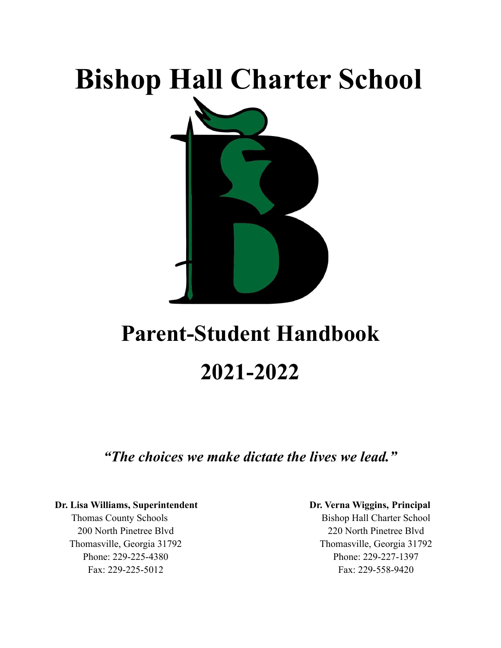# **Bishop Hall Charter School**



## **Parent-Student Handbook 2021-2022**

*"The choices we make dictate the lives we lead."*

#### **Dr. Lisa Williams, Superintendent Dr. Verna Wiggins, Principal**

Thomas County Schools Bishop Hall Charter School 200 North Pinetree Blvd 220 North Pinetree Blvd Thomasville, Georgia 31792 Thomasville, Georgia 31792 Phone: 229-225-4380 Phone: 229-227-1397 Fax: 229-225-5012 Fax: 229-558-9420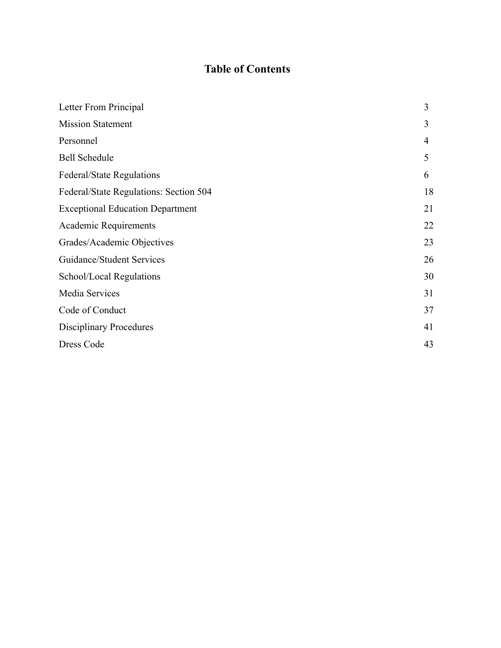## **Table of Contents**

| Letter From Principal                   | 3  |
|-----------------------------------------|----|
| <b>Mission Statement</b>                | 3  |
| Personnel                               | 4  |
| <b>Bell Schedule</b>                    | 5  |
| <b>Federal/State Regulations</b>        | 6  |
| Federal/State Regulations: Section 504  | 18 |
| <b>Exceptional Education Department</b> | 21 |
| Academic Requirements                   | 22 |
| Grades/Academic Objectives              | 23 |
| Guidance/Student Services               | 26 |
| School/Local Regulations                | 30 |
| Media Services                          | 31 |
| Code of Conduct                         | 37 |
| <b>Disciplinary Procedures</b>          | 41 |
| Dress Code                              | 43 |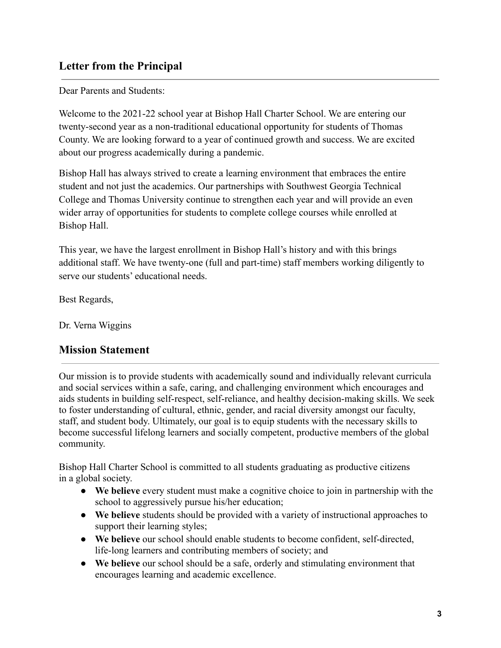### **Letter from the Principal**

Dear Parents and Students:

Welcome to the 2021-22 school year at Bishop Hall Charter School. We are entering our twenty-second year as a non-traditional educational opportunity for students of Thomas County. We are looking forward to a year of continued growth and success. We are excited about our progress academically during a pandemic.

Bishop Hall has always strived to create a learning environment that embraces the entire student and not just the academics. Our partnerships with Southwest Georgia Technical College and Thomas University continue to strengthen each year and will provide an even wider array of opportunities for students to complete college courses while enrolled at Bishop Hall.

This year, we have the largest enrollment in Bishop Hall's history and with this brings additional staff. We have twenty-one (full and part-time) staff members working diligently to serve our students' educational needs.

Best Regards,

Dr. Verna Wiggins

#### **Mission Statement**

Our mission is to provide students with academically sound and individually relevant curricula and social services within a safe, caring, and challenging environment which encourages and aids students in building self-respect, self-reliance, and healthy decision-making skills. We seek to foster understanding of cultural, ethnic, gender, and racial diversity amongst our faculty, staff, and student body. Ultimately, our goal is to equip students with the necessary skills to become successful lifelong learners and socially competent, productive members of the global community.

Bishop Hall Charter School is committed to all students graduating as productive citizens in a global society.

- **We believe** every student must make a cognitive choice to join in partnership with the school to aggressively pursue his/her education;
- **We believe** students should be provided with a variety of instructional approaches to support their learning styles;
- **We believe** our school should enable students to become confident, self-directed, life-long learners and contributing members of society; and
- **We believe** our school should be a safe, orderly and stimulating environment that encourages learning and academic excellence.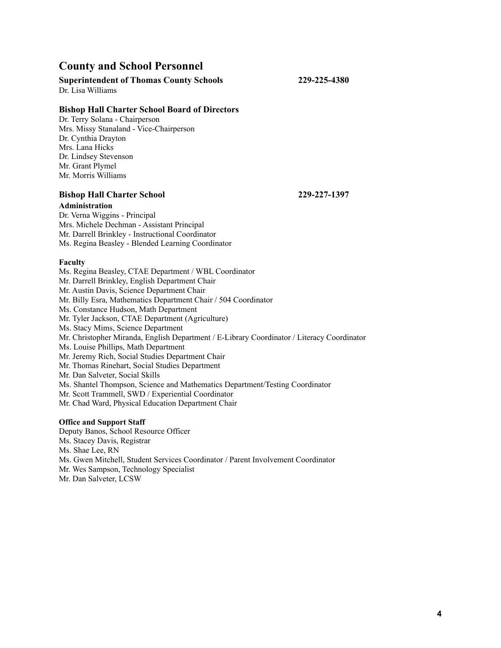#### **County and School Personnel**

#### **Superintendent of Thomas County Schools 229-225-4380**

Dr. Lisa Williams

#### **Bishop Hall Charter School Board of Directors**

Dr. Terry Solana - Chairperson Mrs. Missy Stanaland - Vice-Chairperson Dr. Cynthia Drayton Mrs. Lana Hicks Dr. Lindsey Stevenson Mr. Grant Plymel Mr. Morris Williams

#### **Bishop Hall Charter School 229-227-1397**

#### **Administration**

Dr. Verna Wiggins - Principal Mrs. Michele Dechman - Assistant Principal Mr. Darrell Brinkley - Instructional Coordinator Ms. Regina Beasley - Blended Learning Coordinator

#### **Faculty**

Ms. Regina Beasley, CTAE Department / WBL Coordinator Mr. Darrell Brinkley, English Department Chair Mr. Austin Davis, Science Department Chair Mr. Billy Esra, Mathematics Department Chair / 504 Coordinator Ms. Constance Hudson, Math Department Mr. Tyler Jackson, CTAE Department (Agriculture) Ms. Stacy Mims, Science Department Mr. Christopher Miranda, English Department / E-Library Coordinator / Literacy Coordinator Ms. Louise Phillips, Math Department Mr. Jeremy Rich, Social Studies Department Chair Mr. Thomas Rinehart, Social Studies Department Mr. Dan Salveter, Social Skills Ms. Shantel Thompson, Science and Mathematics Department/Testing Coordinator Mr. Scott Trammell, SWD / Experiential Coordinator Mr. Chad Ward, Physical Education Department Chair **Office and Support Staff**

Deputy Banos, School Resource Officer

- Ms. Stacey Davis, Registrar
- Ms. Shae Lee, RN
- Ms. Gwen Mitchell, Student Services Coordinator / Parent Involvement Coordinator
- Mr. Wes Sampson, Technology Specialist

Mr. Dan Salveter, LCSW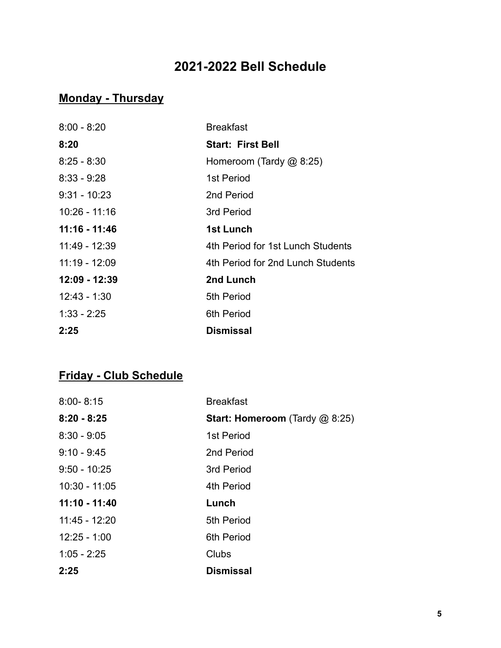## **2021-2022 Bell Schedule**

## **Monday - Thursday**

| $8:00 - 8:20$   | <b>Breakfast</b>                  |
|-----------------|-----------------------------------|
| 8:20            | <b>Start: First Bell</b>          |
| $8:25 - 8:30$   | Homeroom (Tardy @ 8:25)           |
| $8:33 - 9:28$   | 1st Period                        |
| $9:31 - 10:23$  | 2nd Period                        |
| $10:26 - 11:16$ | 3rd Period                        |
| $11:16 - 11:46$ | 1st Lunch                         |
| 11:49 - 12:39   | 4th Period for 1st Lunch Students |
| $11:19 - 12:09$ | 4th Period for 2nd Lunch Students |
| 12:09 - 12:39   | 2nd Lunch                         |
| $12:43 - 1:30$  | 5th Period                        |
| $1:33 - 2:25$   | 6th Period                        |
| 2:25            | Dismissal                         |

## **Friday - Club Schedule**

| $8:00 - 8:15$   | <b>Breakfast</b>                      |
|-----------------|---------------------------------------|
| $8:20 - 8:25$   | <b>Start: Homeroom</b> (Tardy @ 8:25) |
| $8:30 - 9:05$   | 1st Period                            |
| $9:10 - 9:45$   | 2nd Period                            |
| $9:50 - 10:25$  | 3rd Period                            |
| $10:30 - 11:05$ | 4th Period                            |
| $11:10 - 11:40$ | Lunch                                 |
| 11:45 - 12:20   | 5th Period                            |
| $12:25 - 1:00$  | 6th Period                            |
| $1:05 - 2:25$   | Clubs                                 |
| 2:25            | <b>Dismissal</b>                      |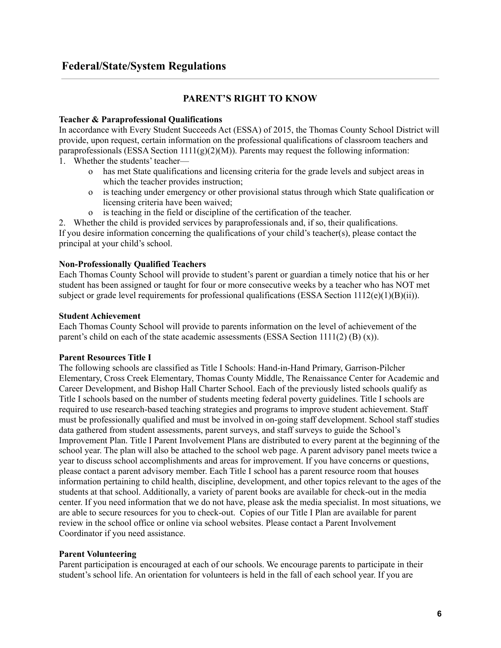#### **Federal/State/System Regulations**

#### **PARENT'S RIGHT TO KNOW**

#### **Teacher & Paraprofessional Qualifications**

In accordance with Every Student Succeeds Act (ESSA) of 2015, the Thomas County School District will provide, upon request, certain information on the professional qualifications of classroom teachers and paraprofessionals (ESSA Section  $1111(g)(2)(M)$ ). Parents may request the following information:

- 1. Whether the students' teacher
	- o has met State qualifications and licensing criteria for the grade levels and subject areas in which the teacher provides instruction;
	- o is teaching under emergency or other provisional status through which State qualification or licensing criteria have been waived;
	- o is teaching in the field or discipline of the certification of the teacher.

2. Whether the child is provided services by paraprofessionals and, if so, their qualifications. If you desire information concerning the qualifications of your child's teacher(s), please contact the principal at your child's school.

#### **Non-Professionally Qualified Teachers**

Each Thomas County School will provide to student's parent or guardian a timely notice that his or her student has been assigned or taught for four or more consecutive weeks by a teacher who has NOT met subject or grade level requirements for professional qualifications (ESSA Section  $1112(e)(1)(B)(ii)$ ).

#### **Student Achievement**

Each Thomas County School will provide to parents information on the level of achievement of the parent's child on each of the state academic assessments (ESSA Section  $1111(2)$  (B) (x)).

#### **Parent Resources Title I**

The following schools are classified as Title I Schools: Hand-in-Hand Primary, Garrison-Pilcher Elementary, Cross Creek Elementary, Thomas County Middle, The Renaissance Center for Academic and Career Development, and Bishop Hall Charter School. Each of the previously listed schools qualify as Title I schools based on the number of students meeting federal poverty guidelines. Title I schools are required to use research-based teaching strategies and programs to improve student achievement. Staff must be professionally qualified and must be involved in on-going staff development. School staff studies data gathered from student assessments, parent surveys, and staff surveys to guide the School's Improvement Plan. Title I Parent Involvement Plans are distributed to every parent at the beginning of the school year. The plan will also be attached to the school web page. A parent advisory panel meets twice a year to discuss school accomplishments and areas for improvement. If you have concerns or questions, please contact a parent advisory member. Each Title I school has a parent resource room that houses information pertaining to child health, discipline, development, and other topics relevant to the ages of the students at that school. Additionally, a variety of parent books are available for check-out in the media center. If you need information that we do not have, please ask the media specialist. In most situations, we are able to secure resources for you to check-out. Copies of our Title I Plan are available for parent review in the school office or online via school websites. Please contact a Parent Involvement Coordinator if you need assistance.

#### **Parent Volunteering**

Parent participation is encouraged at each of our schools. We encourage parents to participate in their student's school life. An orientation for volunteers is held in the fall of each school year. If you are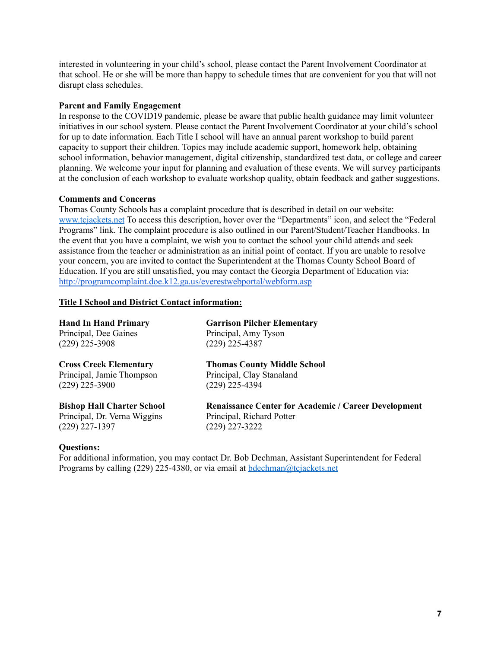interested in volunteering in your child's school, please contact the Parent Involvement Coordinator at that school. He or she will be more than happy to schedule times that are convenient for you that will not disrupt class schedules.

#### **Parent and Family Engagement**

In response to the COVID19 pandemic, please be aware that public health guidance may limit volunteer initiatives in our school system. Please contact the Parent Involvement Coordinator at your child's school for up to date information. Each Title I school will have an annual parent workshop to build parent capacity to support their children. Topics may include academic support, homework help, obtaining school information, behavior management, digital citizenship, standardized test data, or college and career planning. We welcome your input for planning and evaluation of these events. We will survey participants at the conclusion of each workshop to evaluate workshop quality, obtain feedback and gather suggestions.

#### **Comments and Concerns**

Thomas County Schools has a complaint procedure that is described in detail on our website: www.tcjackets.net To access this description, hover over the "Departments" icon, and select the "Federal Programs" link. The complaint procedure is also outlined in our Parent/Student/Teacher Handbooks. In the event that you have a complaint, we wish you to contact the school your child attends and seek assistance from the teacher or administration as an initial point of contact. If you are unable to resolve your concern, you are invited to contact the Superintendent at the Thomas County School Board of Education. If you are still unsatisfied, you may contact the Georgia Department of Education via: <http://programcomplaint.doe.k12.ga.us/everestwebportal/webform.asp>

#### **Title I School and District Contact information:**

| <b>Hand In Hand Primary</b>       | <b>Garrison Pilcher Elementary</b>                          |
|-----------------------------------|-------------------------------------------------------------|
| Principal, Dee Gaines             | Principal, Amy Tyson                                        |
| $(229)$ 225-3908                  | $(229)$ 225-4387                                            |
| <b>Cross Creek Elementary</b>     | <b>Thomas County Middle School</b>                          |
| Principal, Jamie Thompson         | Principal, Clay Stanaland                                   |
| $(229)$ 225-3900                  | $(229)$ 225-4394                                            |
| <b>Bishop Hall Charter School</b> | <b>Renaissance Center for Academic / Career Development</b> |
| Principal, Dr. Verna Wiggins      | Principal, Richard Potter                                   |
| (229) 227-1397                    | $(229)$ 227-3222                                            |
|                                   |                                                             |

#### **Questions:**

For additional information, you may contact Dr. Bob Dechman, Assistant Superintendent for Federal Programs by calling (229) 225-4380, or via email at bdechman@tcjackets.net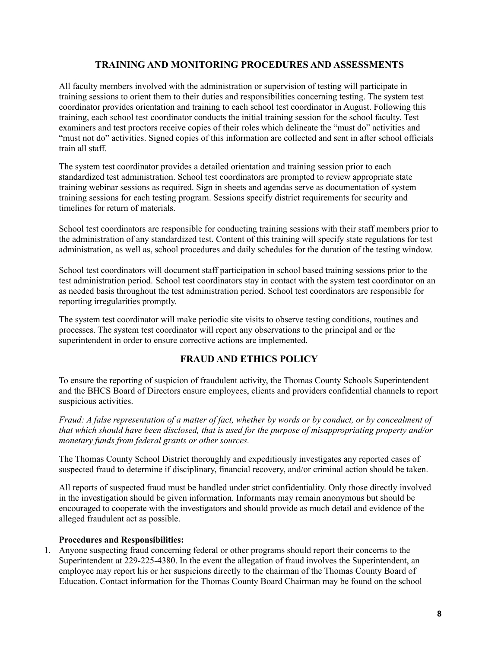#### **TRAINING AND MONITORING PROCEDURES AND ASSESSMENTS**

All faculty members involved with the administration or supervision of testing will participate in training sessions to orient them to their duties and responsibilities concerning testing. The system test coordinator provides orientation and training to each school test coordinator in August. Following this training, each school test coordinator conducts the initial training session for the school faculty. Test examiners and test proctors receive copies of their roles which delineate the "must do" activities and "must not do" activities. Signed copies of this information are collected and sent in after school officials train all staff.

The system test coordinator provides a detailed orientation and training session prior to each standardized test administration. School test coordinators are prompted to review appropriate state training webinar sessions as required. Sign in sheets and agendas serve as documentation of system training sessions for each testing program. Sessions specify district requirements for security and timelines for return of materials.

School test coordinators are responsible for conducting training sessions with their staff members prior to the administration of any standardized test. Content of this training will specify state regulations for test administration, as well as, school procedures and daily schedules for the duration of the testing window.

School test coordinators will document staff participation in school based training sessions prior to the test administration period. School test coordinators stay in contact with the system test coordinator on an as needed basis throughout the test administration period. School test coordinators are responsible for reporting irregularities promptly.

The system test coordinator will make periodic site visits to observe testing conditions, routines and processes. The system test coordinator will report any observations to the principal and or the superintendent in order to ensure corrective actions are implemented.

#### **FRAUD AND ETHICS POLICY**

To ensure the reporting of suspicion of fraudulent activity, the Thomas County Schools Superintendent and the BHCS Board of Directors ensure employees, clients and providers confidential channels to report suspicious activities.

Fraud: A false representation of a matter of fact, whether by words or by conduct, or by concealment of *that which should have been disclosed, that is used for the purpose of misappropriating property and/or monetary funds from federal grants or other sources.*

The Thomas County School District thoroughly and expeditiously investigates any reported cases of suspected fraud to determine if disciplinary, financial recovery, and/or criminal action should be taken.

All reports of suspected fraud must be handled under strict confidentiality. Only those directly involved in the investigation should be given information. Informants may remain anonymous but should be encouraged to cooperate with the investigators and should provide as much detail and evidence of the alleged fraudulent act as possible.

#### **Procedures and Responsibilities:**

1. Anyone suspecting fraud concerning federal or other programs should report their concerns to the Superintendent at 229-225-4380. In the event the allegation of fraud involves the Superintendent, an employee may report his or her suspicions directly to the chairman of the Thomas County Board of Education. Contact information for the Thomas County Board Chairman may be found on the school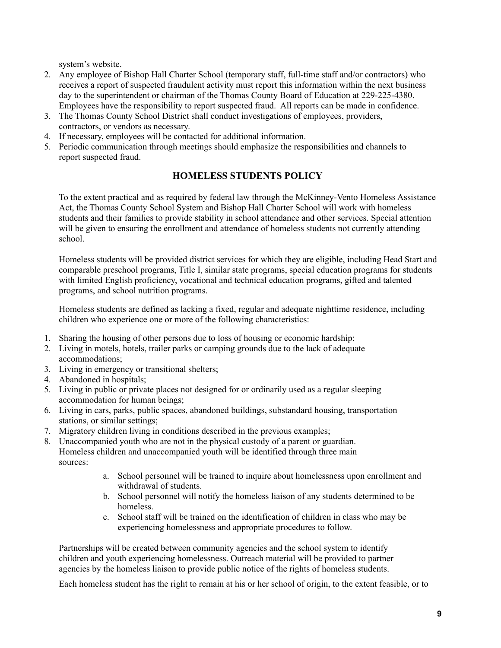system's website.

- 2. Any employee of Bishop Hall Charter School (temporary staff, full-time staff and/or contractors) who receives a report of suspected fraudulent activity must report this information within the next business day to the superintendent or chairman of the Thomas County Board of Education at 229-225-4380. Employees have the responsibility to report suspected fraud. All reports can be made in confidence.
- 3. The Thomas County School District shall conduct investigations of employees, providers, contractors, or vendors as necessary.
- 4. If necessary, employees will be contacted for additional information.
- 5. Periodic communication through meetings should emphasize the responsibilities and channels to report suspected fraud.

#### **HOMELESS STUDENTS POLICY**

To the extent practical and as required by federal law through the McKinney-Vento Homeless Assistance Act, the Thomas County School System and Bishop Hall Charter School will work with homeless students and their families to provide stability in school attendance and other services. Special attention will be given to ensuring the enrollment and attendance of homeless students not currently attending school.

Homeless students will be provided district services for which they are eligible, including Head Start and comparable preschool programs, Title I, similar state programs, special education programs for students with limited English proficiency, vocational and technical education programs, gifted and talented programs, and school nutrition programs.

Homeless students are defined as lacking a fixed, regular and adequate nighttime residence, including children who experience one or more of the following characteristics:

- 1. Sharing the housing of other persons due to loss of housing or economic hardship;
- 2. Living in motels, hotels, trailer parks or camping grounds due to the lack of adequate accommodations;
- 3. Living in emergency or transitional shelters;
- 4. Abandoned in hospitals;
- 5. Living in public or private places not designed for or ordinarily used as a regular sleeping accommodation for human beings;
- 6. Living in cars, parks, public spaces, abandoned buildings, substandard housing, transportation stations, or similar settings;
- 7. Migratory children living in conditions described in the previous examples;
- 8. Unaccompanied youth who are not in the physical custody of a parent or guardian. Homeless children and unaccompanied youth will be identified through three main sources:
	- a. School personnel will be trained to inquire about homelessness upon enrollment and withdrawal of students.
	- b. School personnel will notify the homeless liaison of any students determined to be homeless.
	- c. School staff will be trained on the identification of children in class who may be experiencing homelessness and appropriate procedures to follow.

Partnerships will be created between community agencies and the school system to identify children and youth experiencing homelessness. Outreach material will be provided to partner agencies by the homeless liaison to provide public notice of the rights of homeless students.

Each homeless student has the right to remain at his or her school of origin, to the extent feasible, or to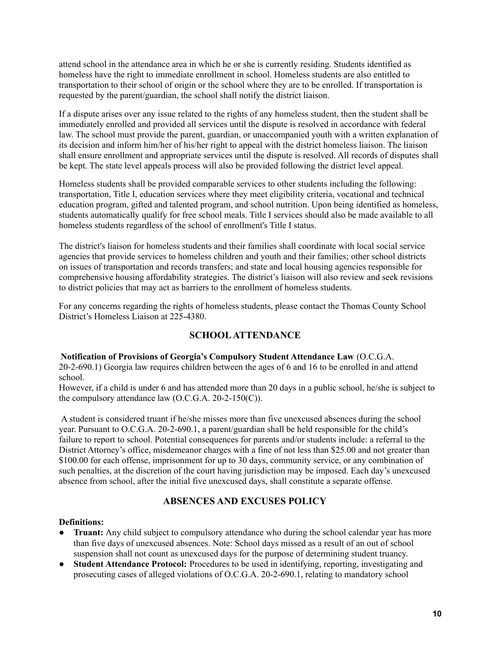attend school in the attendance area in which he or she is currently residing. Students identified as homeless have the right to immediate enrollment in school. Homeless students are also entitled to transportation to their school of origin or the school where they are to be enrolled. If transportation is requested by the parent/guardian, the school shall notify the district liaison.

If a dispute arises over any issue related to the rights of any homeless student, then the student shall be immediately enrolled and provided all services until the dispute is resolved in accordance with federal law. The school must provide the parent, guardian, or unaccompanied youth with a written explanation of its decision and inform him/her of his/her right to appeal with the district homeless liaison. The liaison shall ensure enrollment and appropriate services until the dispute is resolved. All records of disputes shall be kept. The state level appeals process will also be provided following the district level appeal.

Homeless students shall be provided comparable services to other students including the following: transportation, Title I, education services where they meet eligibility criteria, vocational and technical education program, gifted and talented program, and school nutrition. Upon being identified as homeless, students automatically qualify for free school meals. Title I services should also be made available to all homeless students regardless of the school of enrollment's Title I status.

The district's liaison for homeless students and their families shall coordinate with local social service agencies that provide services to homeless children and youth and their families; other school districts on issues of transportation and records transfers; and state and local housing agencies responsible for comprehensive housing affordability strategies. The district's liaison will also review and seek revisions to district policies that may act as barriers to the enrollment of homeless students.

For any concerns regarding the rights of homeless students, please contact the Thomas County School District's Homeless Liaison at 225-4380.

#### **SCHOOLATTENDANCE**

#### **Notification of Provisions of Georgia's Compulsory Student Attendance Law** (O.C.G.A.

20-2-690.1) Georgia law requires children between the ages of 6 and 16 to be enrolled in and attend school.

However, if a child is under 6 and has attended more than 20 days in a public school, he/she is subject to the compulsory attendance law  $(O.C.G.A. 20-2-150(C)).$ 

A student is considered truant if he/she misses more than five unexcused absences during the school year. Pursuant to O.C.G.A. 20-2-690.1, a parent/guardian shall be held responsible for the child's failure to report to school. Potential consequences for parents and/or students include: a referral to the District Attorney's office, misdemeanor charges with a fine of not less than \$25.00 and not greater than \$100.00 for each offense, imprisonment for up to 30 days, community service, or any combination of such penalties, at the discretion of the court having jurisdiction may be imposed. Each day's unexcused absence from school, after the initial five unexcused days, shall constitute a separate offense.

#### **ABSENCES AND EXCUSES POLICY**

#### **Definitions:**

- **Truant:** Any child subject to compulsory attendance who during the school calendar year has more than five days of unexcused absences. Note: School days missed as a result of an out of school suspension shall not count as unexcused days for the purpose of determining student truancy.
- **Student Attendance Protocol:** Procedures to be used in identifying, reporting, investigating and prosecuting cases of alleged violations of O.C.G.A. 20-2-690.1, relating to mandatory school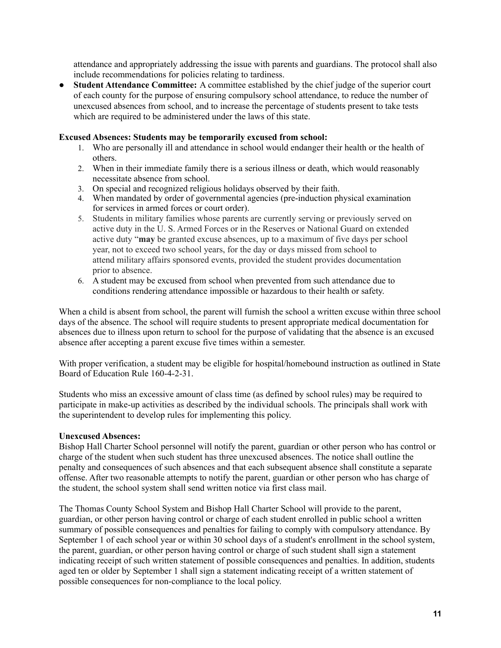attendance and appropriately addressing the issue with parents and guardians. The protocol shall also include recommendations for policies relating to tardiness.

● **Student Attendance Committee:** A committee established by the chief judge of the superior court of each county for the purpose of ensuring compulsory school attendance, to reduce the number of unexcused absences from school, and to increase the percentage of students present to take tests which are required to be administered under the laws of this state.

#### **Excused Absences: Students may be temporarily excused from school:**

- 1. Who are personally ill and attendance in school would endanger their health or the health of others.
- 2. When in their immediate family there is a serious illness or death, which would reasonably necessitate absence from school.
- 3. On special and recognized religious holidays observed by their faith.
- 4. When mandated by order of governmental agencies (pre-induction physical examination for services in armed forces or court order).
- 5. Students in military families whose parents are currently serving or previously served on active duty in the U. S. Armed Forces or in the Reserves or National Guard on extended active duty "**may** be granted excuse absences, up to a maximum of five days per school year, not to exceed two school years, for the day or days missed from school to attend military affairs sponsored events, provided the student provides documentation prior to absence.
- 6. A student may be excused from school when prevented from such attendance due to conditions rendering attendance impossible or hazardous to their health or safety.

When a child is absent from school, the parent will furnish the school a written excuse within three school days of the absence. The school will require students to present appropriate medical documentation for absences due to illness upon return to school for the purpose of validating that the absence is an excused absence after accepting a parent excuse five times within a semester.

With proper verification, a student may be eligible for hospital/homebound instruction as outlined in State Board of Education Rule 160-4-2-31.

Students who miss an excessive amount of class time (as defined by school rules) may be required to participate in make-up activities as described by the individual schools. The principals shall work with the superintendent to develop rules for implementing this policy.

#### **Unexcused Absences:**

Bishop Hall Charter School personnel will notify the parent, guardian or other person who has control or charge of the student when such student has three unexcused absences. The notice shall outline the penalty and consequences of such absences and that each subsequent absence shall constitute a separate offense. After two reasonable attempts to notify the parent, guardian or other person who has charge of the student, the school system shall send written notice via first class mail.

The Thomas County School System and Bishop Hall Charter School will provide to the parent, guardian, or other person having control or charge of each student enrolled in public school a written summary of possible consequences and penalties for failing to comply with compulsory attendance. By September 1 of each school year or within 30 school days of a student's enrollment in the school system, the parent, guardian, or other person having control or charge of such student shall sign a statement indicating receipt of such written statement of possible consequences and penalties. In addition, students aged ten or older by September 1 shall sign a statement indicating receipt of a written statement of possible consequences for non-compliance to the local policy.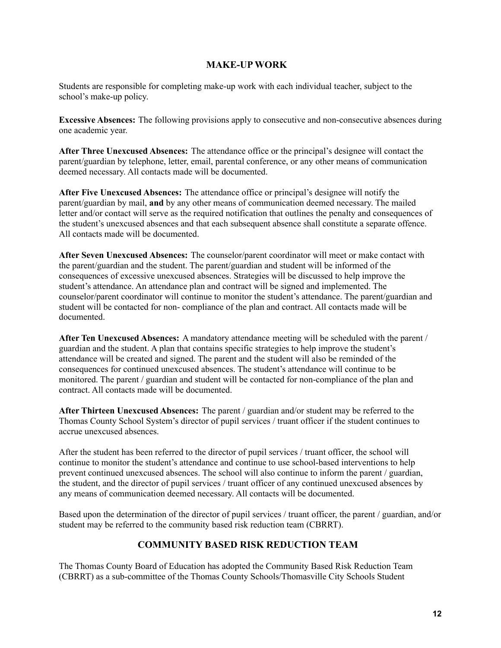#### **MAKE-UP WORK**

Students are responsible for completing make-up work with each individual teacher, subject to the school's make-up policy.

**Excessive Absences:** The following provisions apply to consecutive and non-consecutive absences during one academic year.

**After Three Unexcused Absences:** The attendance office or the principal's designee will contact the parent/guardian by telephone, letter, email, parental conference, or any other means of communication deemed necessary. All contacts made will be documented.

**After Five Unexcused Absences:** The attendance office or principal's designee will notify the parent/guardian by mail, **and** by any other means of communication deemed necessary. The mailed letter and/or contact will serve as the required notification that outlines the penalty and consequences of the student's unexcused absences and that each subsequent absence shall constitute a separate offence. All contacts made will be documented.

**After Seven Unexcused Absences:** The counselor/parent coordinator will meet or make contact with the parent/guardian and the student. The parent/guardian and student will be informed of the consequences of excessive unexcused absences. Strategies will be discussed to help improve the student's attendance. An attendance plan and contract will be signed and implemented. The counselor/parent coordinator will continue to monitor the student's attendance. The parent/guardian and student will be contacted for non- compliance of the plan and contract. All contacts made will be documented.

**After Ten Unexcused Absences:** A mandatory attendance meeting will be scheduled with the parent / guardian and the student. A plan that contains specific strategies to help improve the student's attendance will be created and signed. The parent and the student will also be reminded of the consequences for continued unexcused absences. The student's attendance will continue to be monitored. The parent / guardian and student will be contacted for non-compliance of the plan and contract. All contacts made will be documented.

**After Thirteen Unexcused Absences:** The parent / guardian and/or student may be referred to the Thomas County School System's director of pupil services / truant officer if the student continues to accrue unexcused absences.

After the student has been referred to the director of pupil services / truant officer, the school will continue to monitor the student's attendance and continue to use school-based interventions to help prevent continued unexcused absences. The school will also continue to inform the parent / guardian, the student, and the director of pupil services / truant officer of any continued unexcused absences by any means of communication deemed necessary. All contacts will be documented.

Based upon the determination of the director of pupil services / truant officer, the parent / guardian, and/or student may be referred to the community based risk reduction team (CBRRT).

#### **COMMUNITY BASED RISK REDUCTION TEAM**

The Thomas County Board of Education has adopted the Community Based Risk Reduction Team (CBRRT) as a sub-committee of the Thomas County Schools/Thomasville City Schools Student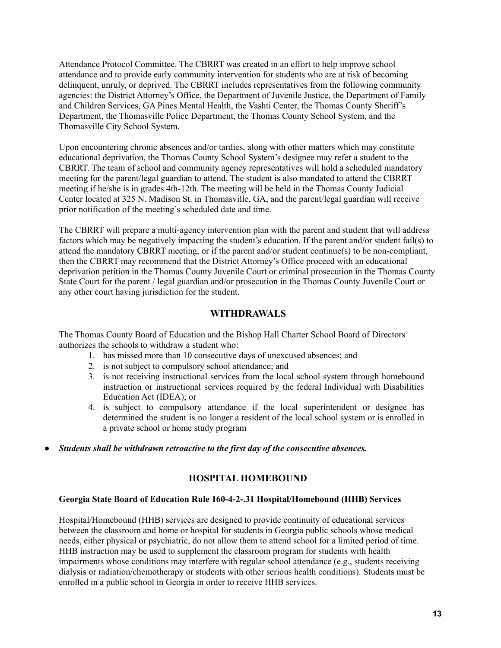Attendance Protocol Committee. The CBRRT was created in an effort to help improve school attendance and to provide early community intervention for students who are at risk of becoming delinquent, unruly, or deprived. The CBRRT includes representatives from the following community agencies: the District Attorney's Office, the Department of Juvenile Justice, the Department of Family and Children Services, GA Pines Mental Health, the Vashti Center, the Thomas County Sheriff's Department, the Thomasville Police Department, the Thomas County School System, and the Thomasville City School System.

Upon encountering chronic absences and/or tardies, along with other matters which may constitute educational deprivation, the Thomas County School System's designee may refer a student to the CBRRT. The team of school and community agency representatives will hold a scheduled mandatory meeting for the parent/legal guardian to attend. The student is also mandated to attend the CBRRT meeting if he/she is in grades 4th-12th. The meeting will be held in the Thomas County Judicial Center located at 325 N. Madison St. in Thomasville, GA, and the parent/legal guardian will receive prior notification of the meeting's scheduled date and time.

The CBRRT will prepare a multi-agency intervention plan with the parent and student that will address factors which may be negatively impacting the student's education. If the parent and/or student fail(s) to attend the mandatory CBRRT meeting, or if the parent and/or student continue(s) to be non-compliant, then the CBRRT may recommend that the District Attorney's Office proceed with an educational deprivation petition in the Thomas County Juvenile Court or criminal prosecution in the Thomas County State Court for the parent / legal guardian and/or prosecution in the Thomas County Juvenile Court or any other court having jurisdiction for the student.

#### **WITHDRAWALS**

The Thomas County Board of Education and the Bishop Hall Charter School Board of Directors authorizes the schools to withdraw a student who:

- 1. has missed more than 10 consecutive days of unexcused absences; and
- 2. is not subject to compulsory school attendance; and
- 3. is not receiving instructional services from the local school system through homebound instruction or instructional services required by the federal Individual with Disabilities Education Act (IDEA); or
- 4. is subject to compulsory attendance if the local superintendent or designee has determined the student is no longer a resident of the local school system or is enrolled in a private school or home study program
- *● Students shall be withdrawn retroactive to the first day of the consecutive absences.*

#### **HOSPITAL HOMEBOUND**

#### **Georgia State Board of Education Rule 160-4-2-.31 Hospital/Homebound (HHB) Services**

Hospital/Homebound (HHB) services are designed to provide continuity of educational services between the classroom and home or hospital for students in Georgia public schools whose medical needs, either physical or psychiatric, do not allow them to attend school for a limited period of time. HHB instruction may be used to supplement the classroom program for students with health impairments whose conditions may interfere with regular school attendance (e.g., students receiving dialysis or radiation/chemotherapy or students with other serious health conditions). Students must be enrolled in a public school in Georgia in order to receive HHB services.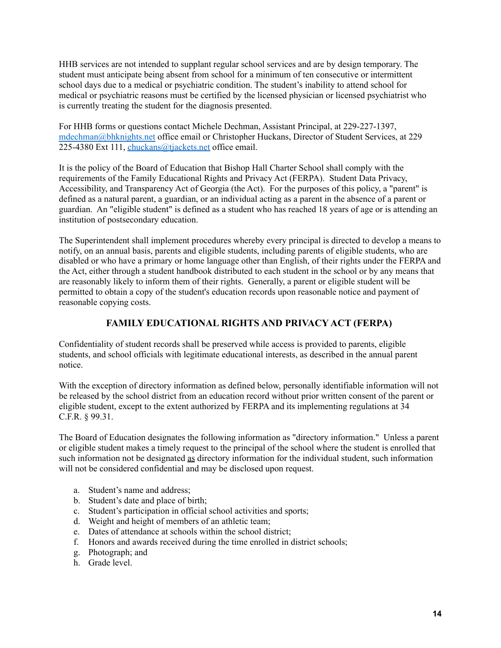HHB services are not intended to supplant regular school services and are by design temporary. The student must anticipate being absent from school for a minimum of ten consecutive or intermittent school days due to a medical or psychiatric condition. The student's inability to attend school for medical or psychiatric reasons must be certified by the licensed physician or licensed psychiatrist who is currently treating the student for the diagnosis presented.

For HHB forms or questions contact Michele Dechman, Assistant Principal, at 229-227-1397, [mdechman@bhknights.net](mailto:mdechman@bhknights.net) office email or Christopher Huckans, Director of Student Services, at 229 225-4380 Ext 111, *[chuckans@tjackets.net](mailto:chuckans@tjackets.net)* office email.

It is the policy of the Board of Education that Bishop Hall Charter School shall comply with the requirements of the Family Educational Rights and Privacy Act (FERPA). Student Data Privacy, Accessibility, and Transparency Act of Georgia (the Act). For the purposes of this policy, a "parent" is defined as a natural parent, a guardian, or an individual acting as a parent in the absence of a parent or guardian. An "eligible student" is defined as a student who has reached 18 years of age or is attending an institution of postsecondary education.

The Superintendent shall implement procedures whereby every principal is directed to develop a means to notify, on an annual basis, parents and eligible students, including parents of eligible students, who are disabled or who have a primary or home language other than English, of their rights under the FERPA and the Act, either through a student handbook distributed to each student in the school or by any means that are reasonably likely to inform them of their rights. Generally, a parent or eligible student will be permitted to obtain a copy of the student's education records upon reasonable notice and payment of reasonable copying costs.

#### **FAMILY EDUCATIONAL RIGHTS AND PRIVACY ACT (FERPA)**

Confidentiality of student records shall be preserved while access is provided to parents, eligible students, and school officials with legitimate educational interests, as described in the annual parent notice.

With the exception of directory information as defined below, personally identifiable information will not be released by the school district from an education record without prior written consent of the parent or eligible student, except to the extent authorized by FERPA and its implementing regulations at 34 C.F.R. § 99.31.

The Board of Education designates the following information as "directory information." Unless a parent or eligible student makes a timely request to the principal of the school where the student is enrolled that such information not be designated as directory information for the individual student, such information will not be considered confidential and may be disclosed upon request.

- a. Student's name and address;
- b. Student's date and place of birth;
- c. Student's participation in official school activities and sports;
- d. Weight and height of members of an athletic team;
- e. Dates of attendance at schools within the school district;
- f. Honors and awards received during the time enrolled in district schools;
- g. Photograph; and
- h. Grade level.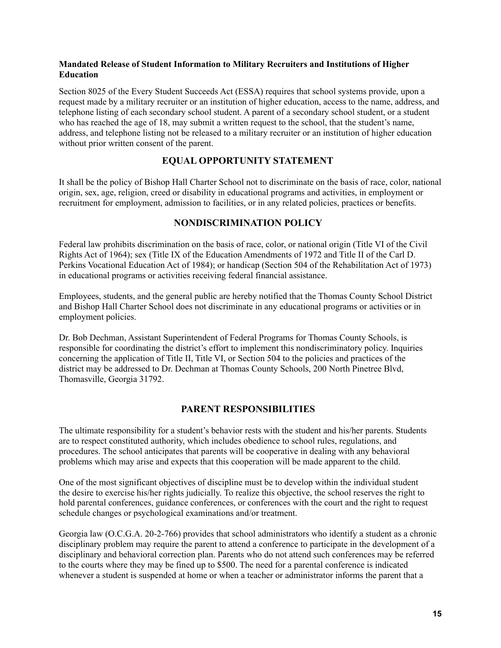#### **Mandated Release of Student Information to Military Recruiters and Institutions of Higher Education**

Section 8025 of the Every Student Succeeds Act (ESSA) requires that school systems provide, upon a request made by a military recruiter or an institution of higher education, access to the name, address, and telephone listing of each secondary school student. A parent of a secondary school student, or a student who has reached the age of 18, may submit a written request to the school, that the student's name, address, and telephone listing not be released to a military recruiter or an institution of higher education without prior written consent of the parent.

#### **EQUAL OPPORTUNITY STATEMENT**

It shall be the policy of Bishop Hall Charter School not to discriminate on the basis of race, color, national origin, sex, age, religion, creed or disability in educational programs and activities, in employment or recruitment for employment, admission to facilities, or in any related policies, practices or benefits.

#### **NONDISCRIMINATION POLICY**

Federal law prohibits discrimination on the basis of race, color, or national origin (Title VI of the Civil Rights Act of 1964); sex (Title IX of the Education Amendments of 1972 and Title II of the Carl D. Perkins Vocational Education Act of 1984); or handicap (Section 504 of the Rehabilitation Act of 1973) in educational programs or activities receiving federal financial assistance.

Employees, students, and the general public are hereby notified that the Thomas County School District and Bishop Hall Charter School does not discriminate in any educational programs or activities or in employment policies.

Dr. Bob Dechman, Assistant Superintendent of Federal Programs for Thomas County Schools, is responsible for coordinating the district's effort to implement this nondiscriminatory policy. Inquiries concerning the application of Title II, Title VI, or Section 504 to the policies and practices of the district may be addressed to Dr. Dechman at Thomas County Schools, 200 North Pinetree Blvd, Thomasville, Georgia 31792.

#### **PARENT RESPONSIBILITIES**

The ultimate responsibility for a student's behavior rests with the student and his/her parents. Students are to respect constituted authority, which includes obedience to school rules, regulations, and procedures. The school anticipates that parents will be cooperative in dealing with any behavioral problems which may arise and expects that this cooperation will be made apparent to the child.

One of the most significant objectives of discipline must be to develop within the individual student the desire to exercise his/her rights judicially. To realize this objective, the school reserves the right to hold parental conferences, guidance conferences, or conferences with the court and the right to request schedule changes or psychological examinations and/or treatment.

Georgia law (O.C.G.A. 20-2-766) provides that school administrators who identify a student as a chronic disciplinary problem may require the parent to attend a conference to participate in the development of a disciplinary and behavioral correction plan. Parents who do not attend such conferences may be referred to the courts where they may be fined up to \$500. The need for a parental conference is indicated whenever a student is suspended at home or when a teacher or administrator informs the parent that a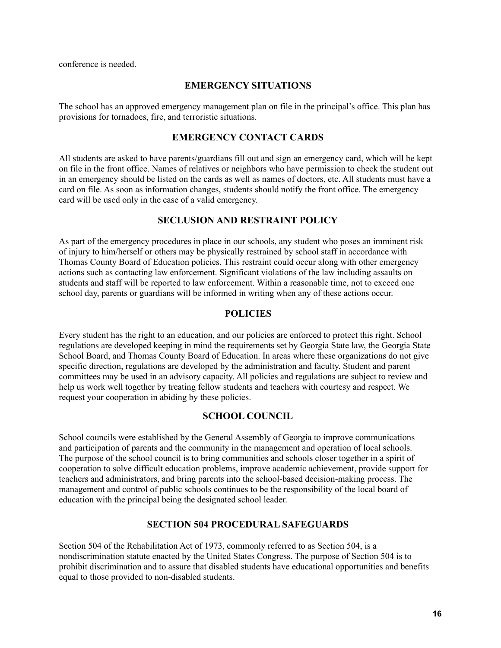conference is needed.

#### **EMERGENCY SITUATIONS**

The school has an approved emergency management plan on file in the principal's office. This plan has provisions for tornadoes, fire, and terroristic situations.

#### **EMERGENCY CONTACT CARDS**

All students are asked to have parents/guardians fill out and sign an emergency card, which will be kept on file in the front office. Names of relatives or neighbors who have permission to check the student out in an emergency should be listed on the cards as well as names of doctors, etc. All students must have a card on file. As soon as information changes, students should notify the front office. The emergency card will be used only in the case of a valid emergency.

#### **SECLUSION AND RESTRAINT POLICY**

As part of the emergency procedures in place in our schools, any student who poses an imminent risk of injury to him/herself or others may be physically restrained by school staff in accordance with Thomas County Board of Education policies. This restraint could occur along with other emergency actions such as contacting law enforcement. Significant violations of the law including assaults on students and staff will be reported to law enforcement. Within a reasonable time, not to exceed one school day, parents or guardians will be informed in writing when any of these actions occur.

#### **POLICIES**

Every student has the right to an education, and our policies are enforced to protect this right. School regulations are developed keeping in mind the requirements set by Georgia State law, the Georgia State School Board, and Thomas County Board of Education. In areas where these organizations do not give specific direction, regulations are developed by the administration and faculty. Student and parent committees may be used in an advisory capacity. All policies and regulations are subject to review and help us work well together by treating fellow students and teachers with courtesy and respect. We request your cooperation in abiding by these policies.

#### **SCHOOL COUNCIL**

School councils were established by the General Assembly of Georgia to improve communications and participation of parents and the community in the management and operation of local schools. The purpose of the school council is to bring communities and schools closer together in a spirit of cooperation to solve difficult education problems, improve academic achievement, provide support for teachers and administrators, and bring parents into the school-based decision-making process. The management and control of public schools continues to be the responsibility of the local board of education with the principal being the designated school leader.

#### **SECTION 504 PROCEDURAL SAFEGUARDS**

Section 504 of the Rehabilitation Act of 1973, commonly referred to as Section 504, is a nondiscrimination statute enacted by the United States Congress. The purpose of Section 504 is to prohibit discrimination and to assure that disabled students have educational opportunities and benefits equal to those provided to non-disabled students.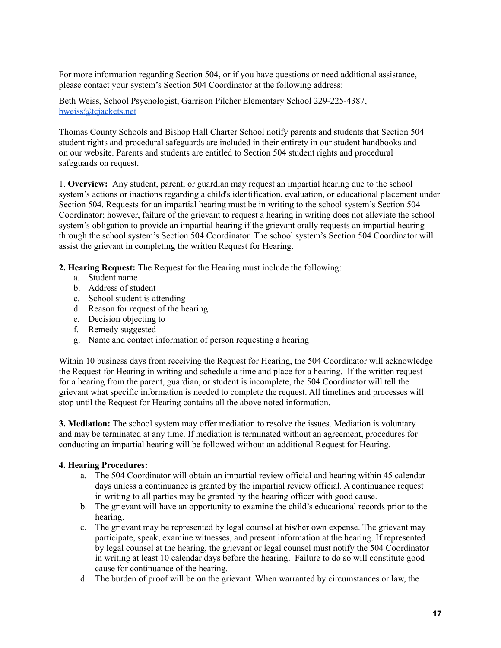For more information regarding Section 504, or if you have questions or need additional assistance, please contact your system's Section 504 Coordinator at the following address:

Beth Weiss, School Psychologist, Garrison Pilcher Elementary School 229-225-4387, [bweiss@tcjackets.net](mailto:bweiss@tcjackets.net)

Thomas County Schools and Bishop Hall Charter School notify parents and students that Section 504 student rights and procedural safeguards are included in their entirety in our student handbooks and on our website. Parents and students are entitled to Section 504 student rights and procedural safeguards on request.

1. **Overview:** Any student, parent, or guardian may request an impartial hearing due to the school system's actions or inactions regarding a child's identification, evaluation, or educational placement under Section 504. Requests for an impartial hearing must be in writing to the school system's Section 504 Coordinator; however, failure of the grievant to request a hearing in writing does not alleviate the school system's obligation to provide an impartial hearing if the grievant orally requests an impartial hearing through the school system's Section 504 Coordinator. The school system's Section 504 Coordinator will assist the grievant in completing the written Request for Hearing.

**2. Hearing Request:** The Request for the Hearing must include the following:

- a. Student name
- b. Address of student
- c. School student is attending
- d. Reason for request of the hearing
- e. Decision objecting to
- f. Remedy suggested
- g. Name and contact information of person requesting a hearing

Within 10 business days from receiving the Request for Hearing, the 504 Coordinator will acknowledge the Request for Hearing in writing and schedule a time and place for a hearing. If the written request for a hearing from the parent, guardian, or student is incomplete, the 504 Coordinator will tell the grievant what specific information is needed to complete the request. All timelines and processes will stop until the Request for Hearing contains all the above noted information.

**3. Mediation:** The school system may offer mediation to resolve the issues. Mediation is voluntary and may be terminated at any time. If mediation is terminated without an agreement, procedures for conducting an impartial hearing will be followed without an additional Request for Hearing.

#### **4. Hearing Procedures:**

- a. The 504 Coordinator will obtain an impartial review official and hearing within 45 calendar days unless a continuance is granted by the impartial review official. A continuance request in writing to all parties may be granted by the hearing officer with good cause.
- b. The grievant will have an opportunity to examine the child's educational records prior to the hearing.
- c. The grievant may be represented by legal counsel at his/her own expense. The grievant may participate, speak, examine witnesses, and present information at the hearing. If represented by legal counsel at the hearing, the grievant or legal counsel must notify the 504 Coordinator in writing at least 10 calendar days before the hearing. Failure to do so will constitute good cause for continuance of the hearing.
- d. The burden of proof will be on the grievant. When warranted by circumstances or law, the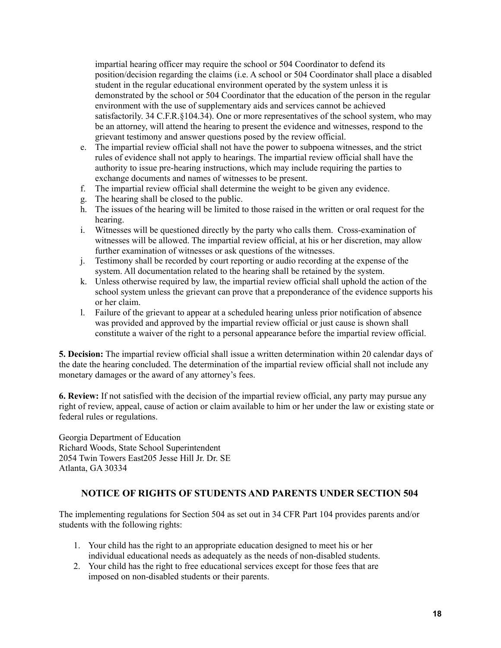impartial hearing officer may require the school or 504 Coordinator to defend its position/decision regarding the claims (i.e. A school or 504 Coordinator shall place a disabled student in the regular educational environment operated by the system unless it is demonstrated by the school or 504 Coordinator that the education of the person in the regular environment with the use of supplementary aids and services cannot be achieved satisfactorily. 34 C.F.R.§104.34). One or more representatives of the school system, who may be an attorney, will attend the hearing to present the evidence and witnesses, respond to the grievant testimony and answer questions posed by the review official.

- e. The impartial review official shall not have the power to subpoena witnesses, and the strict rules of evidence shall not apply to hearings. The impartial review official shall have the authority to issue pre-hearing instructions, which may include requiring the parties to exchange documents and names of witnesses to be present.
- f. The impartial review official shall determine the weight to be given any evidence.
- g. The hearing shall be closed to the public.
- h. The issues of the hearing will be limited to those raised in the written or oral request for the hearing.
- i. Witnesses will be questioned directly by the party who calls them. Cross-examination of witnesses will be allowed. The impartial review official, at his or her discretion, may allow further examination of witnesses or ask questions of the witnesses.
- j. Testimony shall be recorded by court reporting or audio recording at the expense of the system. All documentation related to the hearing shall be retained by the system.
- k. Unless otherwise required by law, the impartial review official shall uphold the action of the school system unless the grievant can prove that a preponderance of the evidence supports his or her claim.
- l. Failure of the grievant to appear at a scheduled hearing unless prior notification of absence was provided and approved by the impartial review official or just cause is shown shall constitute a waiver of the right to a personal appearance before the impartial review official.

**5. Decision:** The impartial review official shall issue a written determination within 20 calendar days of the date the hearing concluded. The determination of the impartial review official shall not include any monetary damages or the award of any attorney's fees.

**6. Review:** If not satisfied with the decision of the impartial review official, any party may pursue any right of review, appeal, cause of action or claim available to him or her under the law or existing state or federal rules or regulations.

Georgia Department of Education Richard Woods, State School Superintendent 2054 Twin Towers East205 Jesse Hill Jr. Dr. SE Atlanta, GA 30334

#### **NOTICE OF RIGHTS OF STUDENTS AND PARENTS UNDER SECTION 504**

The implementing regulations for Section 504 as set out in 34 CFR Part 104 provides parents and/or students with the following rights:

- 1. Your child has the right to an appropriate education designed to meet his or her individual educational needs as adequately as the needs of non-disabled students.
- 2. Your child has the right to free educational services except for those fees that are imposed on non-disabled students or their parents.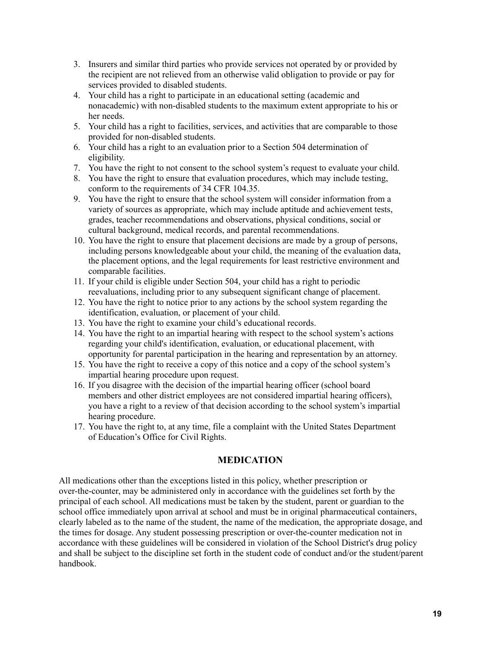- 3. Insurers and similar third parties who provide services not operated by or provided by the recipient are not relieved from an otherwise valid obligation to provide or pay for services provided to disabled students.
- 4. Your child has a right to participate in an educational setting (academic and nonacademic) with non-disabled students to the maximum extent appropriate to his or her needs.
- 5. Your child has a right to facilities, services, and activities that are comparable to those provided for non-disabled students.
- 6. Your child has a right to an evaluation prior to a Section 504 determination of eligibility.
- 7. You have the right to not consent to the school system's request to evaluate your child.
- 8. You have the right to ensure that evaluation procedures, which may include testing, conform to the requirements of 34 CFR 104.35.
- 9. You have the right to ensure that the school system will consider information from a variety of sources as appropriate, which may include aptitude and achievement tests, grades, teacher recommendations and observations, physical conditions, social or cultural background, medical records, and parental recommendations.
- 10. You have the right to ensure that placement decisions are made by a group of persons, including persons knowledgeable about your child, the meaning of the evaluation data, the placement options, and the legal requirements for least restrictive environment and comparable facilities.
- 11. If your child is eligible under Section 504, your child has a right to periodic reevaluations, including prior to any subsequent significant change of placement.
- 12. You have the right to notice prior to any actions by the school system regarding the identification, evaluation, or placement of your child.
- 13. You have the right to examine your child's educational records.
- 14. You have the right to an impartial hearing with respect to the school system's actions regarding your child's identification, evaluation, or educational placement, with opportunity for parental participation in the hearing and representation by an attorney.
- 15. You have the right to receive a copy of this notice and a copy of the school system's impartial hearing procedure upon request.
- 16. If you disagree with the decision of the impartial hearing officer (school board members and other district employees are not considered impartial hearing officers), you have a right to a review of that decision according to the school system's impartial hearing procedure.
- 17. You have the right to, at any time, file a complaint with the United States Department of Education's Office for Civil Rights.

#### **MEDICATION**

All medications other than the exceptions listed in this policy, whether prescription or over-the-counter, may be administered only in accordance with the guidelines set forth by the principal of each school. All medications must be taken by the student, parent or guardian to the school office immediately upon arrival at school and must be in original pharmaceutical containers, clearly labeled as to the name of the student, the name of the medication, the appropriate dosage, and the times for dosage. Any student possessing prescription or over-the-counter medication not in accordance with these guidelines will be considered in violation of the School District's drug policy and shall be subject to the discipline set forth in the student code of conduct and/or the student/parent handbook.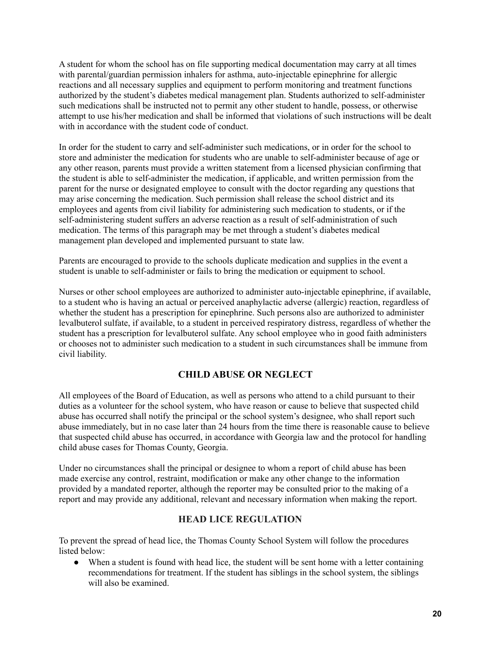A student for whom the school has on file supporting medical documentation may carry at all times with parental/guardian permission inhalers for asthma, auto-injectable epinephrine for allergic reactions and all necessary supplies and equipment to perform monitoring and treatment functions authorized by the student's diabetes medical management plan. Students authorized to self-administer such medications shall be instructed not to permit any other student to handle, possess, or otherwise attempt to use his/her medication and shall be informed that violations of such instructions will be dealt with in accordance with the student code of conduct.

In order for the student to carry and self-administer such medications, or in order for the school to store and administer the medication for students who are unable to self-administer because of age or any other reason, parents must provide a written statement from a licensed physician confirming that the student is able to self-administer the medication, if applicable, and written permission from the parent for the nurse or designated employee to consult with the doctor regarding any questions that may arise concerning the medication. Such permission shall release the school district and its employees and agents from civil liability for administering such medication to students, or if the self-administering student suffers an adverse reaction as a result of self-administration of such medication. The terms of this paragraph may be met through a student's diabetes medical management plan developed and implemented pursuant to state law.

Parents are encouraged to provide to the schools duplicate medication and supplies in the event a student is unable to self-administer or fails to bring the medication or equipment to school.

Nurses or other school employees are authorized to administer auto-injectable epinephrine, if available, to a student who is having an actual or perceived anaphylactic adverse (allergic) reaction, regardless of whether the student has a prescription for epinephrine. Such persons also are authorized to administer levalbuterol sulfate, if available, to a student in perceived respiratory distress, regardless of whether the student has a prescription for levalbuterol sulfate. Any school employee who in good faith administers or chooses not to administer such medication to a student in such circumstances shall be immune from civil liability.

#### **CHILD ABUSE OR NEGLECT**

All employees of the Board of Education, as well as persons who attend to a child pursuant to their duties as a volunteer for the school system, who have reason or cause to believe that suspected child abuse has occurred shall notify the principal or the school system's designee, who shall report such abuse immediately, but in no case later than 24 hours from the time there is reasonable cause to believe that suspected child abuse has occurred, in accordance with Georgia law and the protocol for handling child abuse cases for Thomas County, Georgia.

Under no circumstances shall the principal or designee to whom a report of child abuse has been made exercise any control, restraint, modification or make any other change to the information provided by a mandated reporter, although the reporter may be consulted prior to the making of a report and may provide any additional, relevant and necessary information when making the report.

#### **HEAD LICE REGULATION**

To prevent the spread of head lice, the Thomas County School System will follow the procedures listed below:

• When a student is found with head lice, the student will be sent home with a letter containing recommendations for treatment. If the student has siblings in the school system, the siblings will also be examined.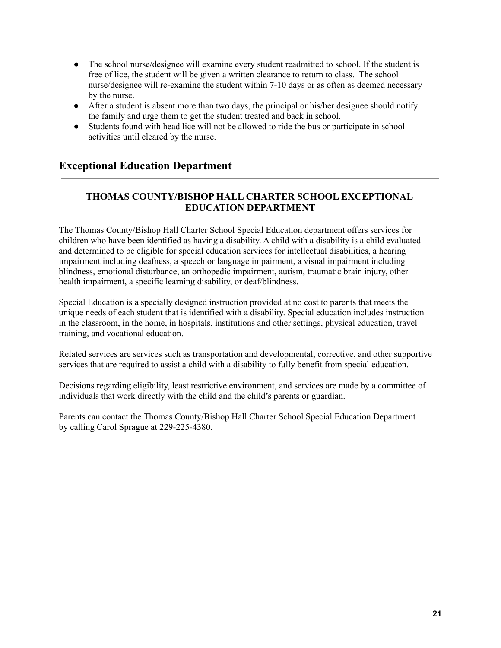- The school nurse/designee will examine every student readmitted to school. If the student is free of lice, the student will be given a written clearance to return to class. The school nurse/designee will re-examine the student within 7-10 days or as often as deemed necessary by the nurse.
- After a student is absent more than two days, the principal or his/her designee should notify the family and urge them to get the student treated and back in school.
- Students found with head lice will not be allowed to ride the bus or participate in school activities until cleared by the nurse.

### **Exceptional Education Department**

#### **THOMAS COUNTY/BISHOP HALL CHARTER SCHOOL EXCEPTIONAL EDUCATION DEPARTMENT**

The Thomas County/Bishop Hall Charter School Special Education department offers services for children who have been identified as having a disability. A child with a disability is a child evaluated and determined to be eligible for special education services for intellectual disabilities, a hearing impairment including deafness, a speech or language impairment, a visual impairment including blindness, emotional disturbance, an orthopedic impairment, autism, traumatic brain injury, other health impairment, a specific learning disability, or deaf/blindness.

Special Education is a specially designed instruction provided at no cost to parents that meets the unique needs of each student that is identified with a disability. Special education includes instruction in the classroom, in the home, in hospitals, institutions and other settings, physical education, travel training, and vocational education.

Related services are services such as transportation and developmental, corrective, and other supportive services that are required to assist a child with a disability to fully benefit from special education.

Decisions regarding eligibility, least restrictive environment, and services are made by a committee of individuals that work directly with the child and the child's parents or guardian.

Parents can contact the Thomas County/Bishop Hall Charter School Special Education Department by calling Carol Sprague at 229-225-4380.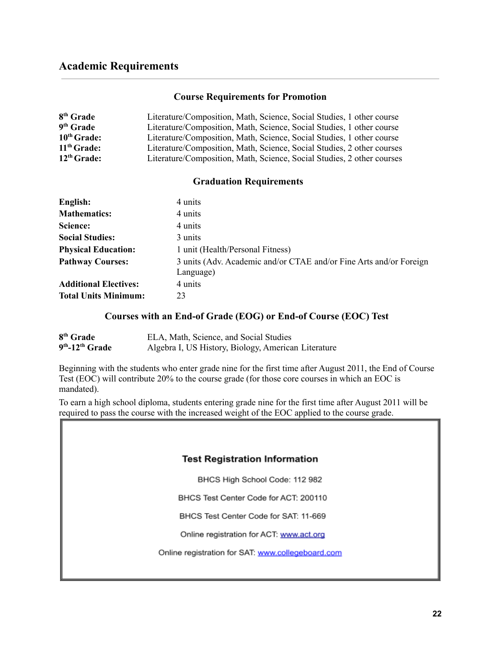#### **Course Requirements for Promotion**

| 8 <sup>th</sup> Grade   | Literature/Composition, Math, Science, Social Studies, 1 other course  |
|-------------------------|------------------------------------------------------------------------|
| 9 <sup>th</sup> Grade   | Literature/Composition, Math, Science, Social Studies, 1 other course  |
| $10th$ Grade:           | Literature/Composition, Math, Science, Social Studies, 1 other course  |
| 11 <sup>th</sup> Grade: | Literature/Composition, Math, Science, Social Studies, 2 other courses |
| $12th$ Grade:           | Literature/Composition, Math, Science, Social Studies, 2 other courses |

#### **Graduation Requirements**

| English:                     | 4 units                                                                         |
|------------------------------|---------------------------------------------------------------------------------|
| <b>Mathematics:</b>          | 4 units                                                                         |
| Science:                     | 4 units                                                                         |
| <b>Social Studies:</b>       | 3 units                                                                         |
| <b>Physical Education:</b>   | 1 unit (Health/Personal Fitness)                                                |
| <b>Pathway Courses:</b>      | 3 units (Adv. Academic and/or CTAE and/or Fine Arts and/or Foreign<br>Language) |
| <b>Additional Electives:</b> | 4 units                                                                         |
| <b>Total Units Minimum:</b>  | 23                                                                              |

#### **Courses with an End-of Grade (EOG) or End-of Course (EOC) Test**

| 8 <sup>th</sup> Grade         | ELA, Math, Science, and Social Studies              |
|-------------------------------|-----------------------------------------------------|
| $9th$ -12 <sup>th</sup> Grade | Algebra I, US History, Biology, American Literature |

Beginning with the students who enter grade nine for the first time after August 2011, the End of Course Test (EOC) will contribute 20% to the course grade (for those core courses in which an EOC is mandated).

To earn a high school diploma, students entering grade nine for the first time after August 2011 will be required to pass the course with the increased weight of the EOC applied to the course grade.

#### **Test Registration Information**

BHCS High School Code: 112 982

BHCS Test Center Code for ACT: 200110

BHCS Test Center Code for SAT: 11-669

Online registration for ACT: www.act.org

Online registration for SAT: www.collegeboard.com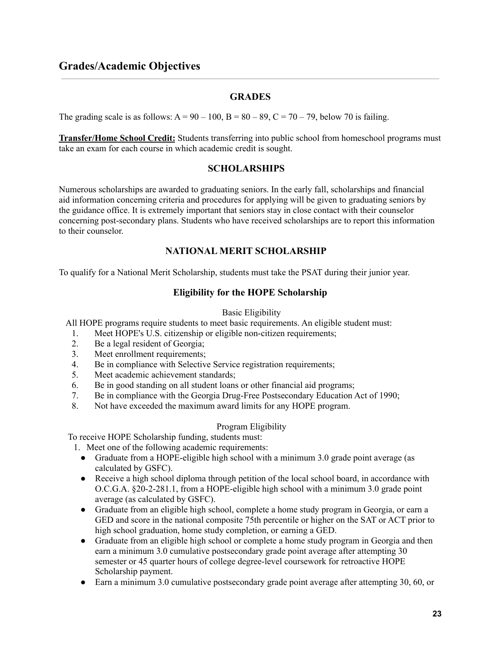#### **GRADES**

The grading scale is as follows:  $A = 90 - 100$ ,  $B = 80 - 89$ ,  $C = 70 - 79$ , below 70 is failing.

**Transfer/Home School Credit:** Students transferring into public school from homeschool programs must take an exam for each course in which academic credit is sought.

#### **SCHOLARSHIPS**

Numerous scholarships are awarded to graduating seniors. In the early fall, scholarships and financial aid information concerning criteria and procedures for applying will be given to graduating seniors by the guidance office. It is extremely important that seniors stay in close contact with their counselor concerning post-secondary plans. Students who have received scholarships are to report this information to their counselor.

#### **NATIONAL MERIT SCHOLARSHIP**

To qualify for a National Merit Scholarship, students must take the PSAT during their junior year.

#### **Eligibility for the HOPE Scholarship**

#### Basic Eligibility

All HOPE programs require students to meet basic requirements. An eligible student must:

- 1. Meet HOPE's U.S. citizenship or eligible non-citizen requirements;
- 2. Be a legal resident of Georgia;
- 3. Meet enrollment requirements;
- 4. Be in compliance with Selective Service registration requirements;
- 5. Meet academic achievement standards;
- 6. Be in good standing on all student loans or other financial aid programs;
- 7. Be in compliance with the Georgia Drug-Free Postsecondary Education Act of 1990;
- 8. Not have exceeded the maximum award limits for any HOPE program.

#### Program Eligibility

To receive HOPE Scholarship funding, students must:

- 1. Meet one of the following academic requirements:
	- Graduate from a HOPE-eligible high school with a minimum 3.0 grade point average (as calculated by GSFC).
	- Receive a high school diploma through petition of the local school board, in accordance with O.C.G.A. §20-2-281.1, from a HOPE-eligible high school with a minimum 3.0 grade point average (as calculated by GSFC).
	- Graduate from an eligible high school, complete a home study program in Georgia, or earn a GED and score in the national composite 75th percentile or higher on the SAT or ACT prior to high school graduation, home study completion, or earning a GED.
	- Graduate from an eligible high school or complete a home study program in Georgia and then earn a minimum 3.0 cumulative postsecondary grade point average after attempting 30 semester or 45 quarter hours of college degree-level coursework for retroactive HOPE Scholarship payment.
	- Earn a minimum 3.0 cumulative postsecondary grade point average after attempting 30, 60, or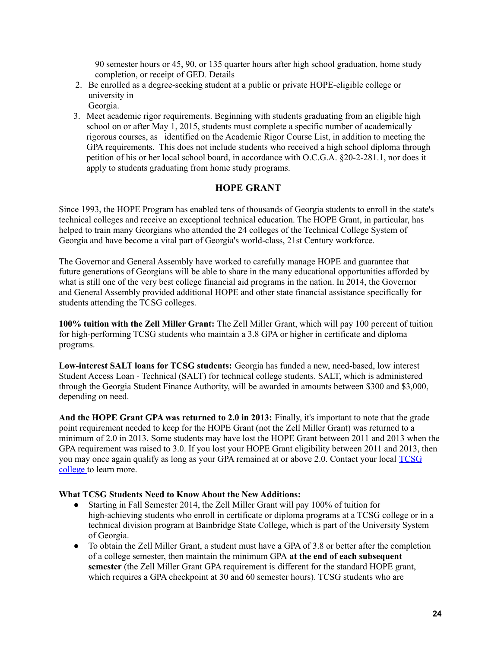90 semester hours or 45, 90, or 135 quarter hours after high school graduation, home study completion, or receipt of GED. Details

- 2. Be enrolled as a degree-seeking student at a public or private HOPE-eligible college or university in
	- Georgia.
- 3. Meet academic rigor requirements. Beginning with students graduating from an eligible high school on or after May 1, 2015, students must complete a specific number of academically rigorous courses, as identified on the Academic Rigor Course List, in addition to meeting the GPA requirements. This does not include students who received a high school diploma through petition of his or her local school board, in accordance with O.C.G.A. §20-2-281.1, nor does it apply to students graduating from home study programs.

#### **HOPE GRANT**

Since 1993, the HOPE Program has enabled tens of thousands of Georgia students to enroll in the state's technical colleges and receive an exceptional technical education. The HOPE Grant, in particular, has helped to train many Georgians who attended the 24 colleges of the Technical College System of Georgia and have become a vital part of Georgia's world-class, 21st Century workforce.

The Governor and General Assembly have worked to carefully manage HOPE and guarantee that future generations of Georgians will be able to share in the many educational opportunities afforded by what is still one of the very best college financial aid programs in the nation. In 2014, the Governor and General Assembly provided additional HOPE and other state financial assistance specifically for students attending the TCSG colleges.

**100% tuition with the Zell Miller Grant:** The Zell Miller Grant, which will pay 100 percent of tuition for high-performing TCSG students who maintain a 3.8 GPA or higher in certificate and diploma programs.

**Low-interest SALT loans for TCSG students:** Georgia has funded a new, need-based, low interest Student Access Loan - Technical (SALT) for technical college students. SALT, which is administered through the Georgia Student Finance Authority, will be awarded in amounts between \$300 and \$3,000, depending on need.

**And the HOPE Grant GPA was returned to 2.0 in 2013:** Finally, it's important to note that the grade point requirement needed to keep for the HOPE Grant (not the Zell Miller Grant) was returned to a minimum of 2.0 in 2013. Some students may have lost the HOPE Grant between 2011 and 2013 when the GPA requirement was raised to 3.0. If you lost your HOPE Grant eligibility between 2011 and 2013, then you may once again qualify as long as your GPA remained at or above 2.0. Contact your local [TCSG](https://tcsg.edu/college_campuses.php) [college](https://tcsg.edu/college_campuses.php) to learn more.

#### **What TCSG Students Need to Know About the New Additions:**

- Starting in Fall Semester 2014, the Zell Miller Grant will pay 100% of tuition for high-achieving students who enroll in certificate or diploma programs at a TCSG college or in a technical division program at Bainbridge State College, which is part of the University System of Georgia.
- To obtain the Zell Miller Grant, a student must have a GPA of 3.8 or better after the completion of a college semester, then maintain the minimum GPA **at the end of each subsequent semester** (the Zell Miller Grant GPA requirement is different for the standard HOPE grant, which requires a GPA checkpoint at 30 and 60 semester hours). TCSG students who are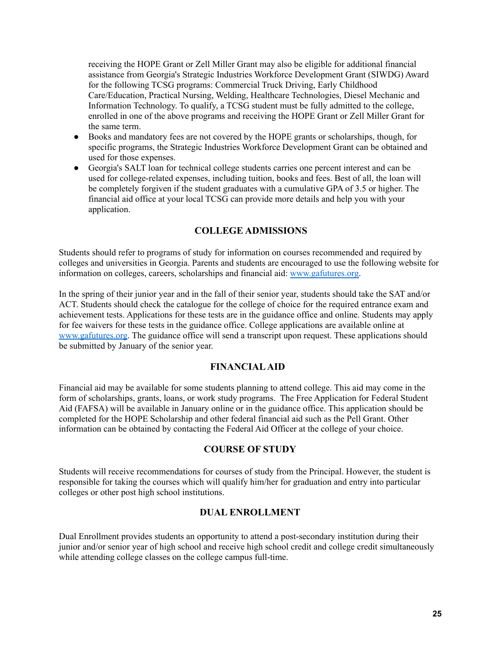receiving the HOPE Grant or Zell Miller Grant may also be eligible for additional financial assistance from Georgia's Strategic Industries Workforce Development Grant (SIWDG) Award for the following TCSG programs: Commercial Truck Driving, Early Childhood Care/Education, Practical Nursing, Welding, Healthcare Technologies, Diesel Mechanic and Information Technology. To qualify, a TCSG student must be fully admitted to the college, enrolled in one of the above programs and receiving the HOPE Grant or Zell Miller Grant for the same term.

- Books and mandatory fees are not covered by the HOPE grants or scholarships, though, for specific programs, the Strategic Industries Workforce Development Grant can be obtained and used for those expenses.
- Georgia's SALT loan for technical college students carries one percent interest and can be used for college-related expenses, including tuition, books and fees. Best of all, the loan will be completely forgiven if the student graduates with a cumulative GPA of 3.5 or higher. The financial aid office at your local TCSG can provide more details and help you with your application.

#### **COLLEGE ADMISSIONS**

Students should refer to programs of study for information on courses recommended and required by colleges and universities in Georgia. Parents and students are encouraged to use the following website for information on colleges, careers, scholarships and financial aid: [www.gafutures.org.](http://www.gafutures.org)

In the spring of their junior year and in the fall of their senior year, students should take the SAT and/or ACT. Students should check the catalogue for the college of choice for the required entrance exam and achievement tests. Applications for these tests are in the guidance office and online. Students may apply for fee waivers for these tests in the guidance office. College applications are available online at [www.gafutures.org.](http://www.gafutures.org) The guidance office will send a transcript upon request. These applications should be submitted by January of the senior year.

#### **FINANCIALAID**

Financial aid may be available for some students planning to attend college. This aid may come in the form of scholarships, grants, loans, or work study programs. The Free Application for Federal Student Aid (FAFSA) will be available in January online or in the guidance office. This application should be completed for the HOPE Scholarship and other federal financial aid such as the Pell Grant. Other information can be obtained by contacting the Federal Aid Officer at the college of your choice.

#### **COURSE OF STUDY**

Students will receive recommendations for courses of study from the Principal. However, the student is responsible for taking the courses which will qualify him/her for graduation and entry into particular colleges or other post high school institutions.

#### **DUAL ENROLLMENT**

Dual Enrollment provides students an opportunity to attend a post-secondary institution during their junior and/or senior year of high school and receive high school credit and college credit simultaneously while attending college classes on the college campus full-time.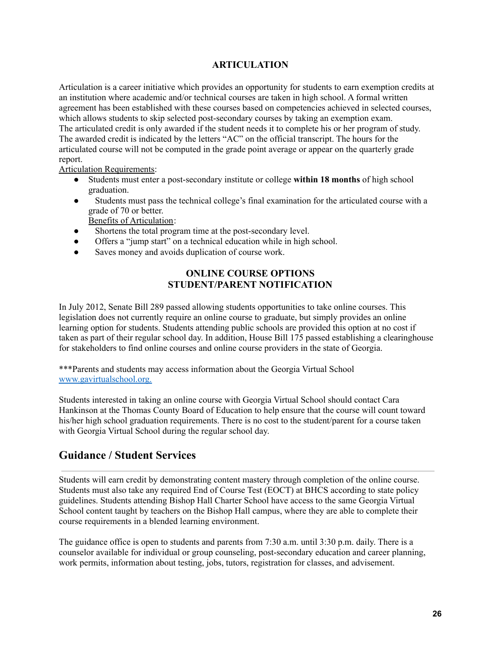#### **ARTICULATION**

Articulation is a career initiative which provides an opportunity for students to earn exemption credits at an institution where academic and/or technical courses are taken in high school. A formal written agreement has been established with these courses based on competencies achieved in selected courses, which allows students to skip selected post-secondary courses by taking an exemption exam. The articulated credit is only awarded if the student needs it to complete his or her program of study. The awarded credit is indicated by the letters "AC" on the official transcript. The hours for the articulated course will not be computed in the grade point average or appear on the quarterly grade report.

Articulation Requirements:

- Students must enter a post-secondary institute or college **within 18 months** of high school graduation.
- Students must pass the technical college's final examination for the articulated course with a grade of 70 or better.

Benefits of Articulation:

- Shortens the total program time at the post-secondary level.
- Offers a "jump start" on a technical education while in high school.
- Saves money and avoids duplication of course work.

#### **ONLINE COURSE OPTIONS STUDENT/PARENT NOTIFICATION**

In July 2012, Senate Bill 289 passed allowing students opportunities to take online courses. This legislation does not currently require an online course to graduate, but simply provides an online learning option for students. Students attending public schools are provided this option at no cost if taken as part of their regular school day. In addition, House Bill 175 passed establishing a clearinghouse for stakeholders to find online courses and online course providers in the state of Georgia.

\*\*\*Parents and students may access information about the Georgia Virtual School [www.gavirtualschool.org.](http://www.gavirtualschool.org.)

Students interested in taking an online course with Georgia Virtual School should contact Cara Hankinson at the Thomas County Board of Education to help ensure that the course will count toward his/her high school graduation requirements. There is no cost to the student/parent for a course taken with Georgia Virtual School during the regular school day.

#### **Guidance / Student Services**

Students will earn credit by demonstrating content mastery through completion of the online course. Students must also take any required End of Course Test (EOCT) at BHCS according to state policy guidelines. Students attending Bishop Hall Charter School have access to the same Georgia Virtual School content taught by teachers on the Bishop Hall campus, where they are able to complete their course requirements in a blended learning environment.

The guidance office is open to students and parents from 7:30 a.m. until 3:30 p.m. daily. There is a counselor available for individual or group counseling, post-secondary education and career planning, work permits, information about testing, jobs, tutors, registration for classes, and advisement.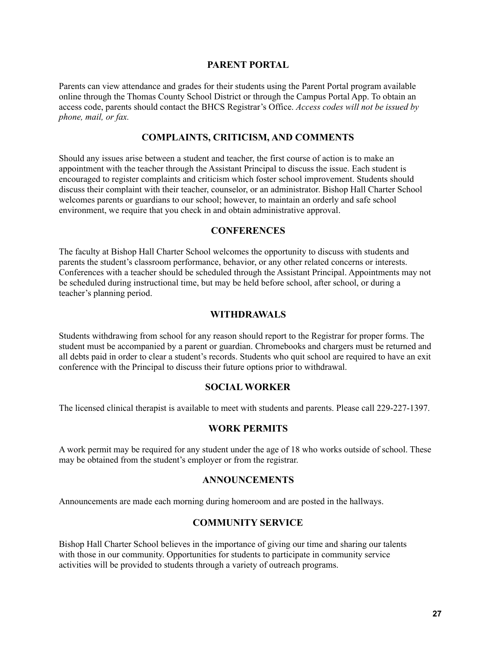#### **PARENT PORTAL**

Parents can view attendance and grades for their students using the Parent Portal program available online through the Thomas County School District or through the Campus Portal App. To obtain an access code, parents should contact the BHCS Registrar's Office. *Access codes will not be issued by phone, mail, or fax.*

#### **COMPLAINTS, CRITICISM, AND COMMENTS**

Should any issues arise between a student and teacher, the first course of action is to make an appointment with the teacher through the Assistant Principal to discuss the issue. Each student is encouraged to register complaints and criticism which foster school improvement. Students should discuss their complaint with their teacher, counselor, or an administrator. Bishop Hall Charter School welcomes parents or guardians to our school; however, to maintain an orderly and safe school environment, we require that you check in and obtain administrative approval.

#### **CONFERENCES**

The faculty at Bishop Hall Charter School welcomes the opportunity to discuss with students and parents the student's classroom performance, behavior, or any other related concerns or interests. Conferences with a teacher should be scheduled through the Assistant Principal. Appointments may not be scheduled during instructional time, but may be held before school, after school, or during a teacher's planning period.

#### **WITHDRAWALS**

Students withdrawing from school for any reason should report to the Registrar for proper forms. The student must be accompanied by a parent or guardian. Chromebooks and chargers must be returned and all debts paid in order to clear a student's records. Students who quit school are required to have an exit conference with the Principal to discuss their future options prior to withdrawal.

#### **SOCIAL WORKER**

The licensed clinical therapist is available to meet with students and parents. Please call 229-227-1397.

#### **WORK PERMITS**

A work permit may be required for any student under the age of 18 who works outside of school. These may be obtained from the student's employer or from the registrar.

#### **ANNOUNCEMENTS**

Announcements are made each morning during homeroom and are posted in the hallways.

#### **COMMUNITY SERVICE**

Bishop Hall Charter School believes in the importance of giving our time and sharing our talents with those in our community. Opportunities for students to participate in community service activities will be provided to students through a variety of outreach programs.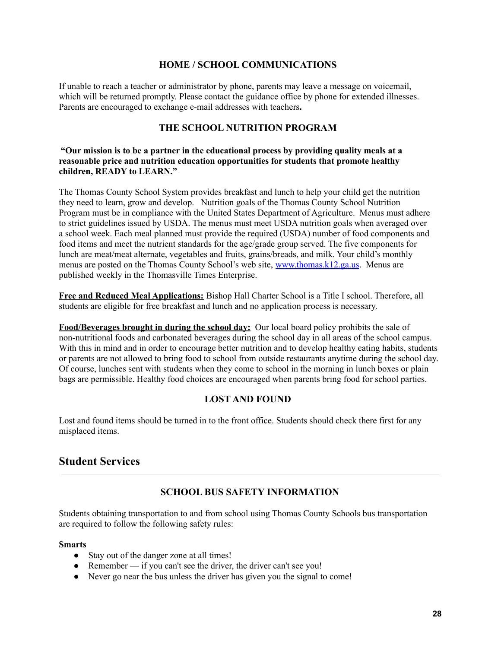#### **HOME / SCHOOL COMMUNICATIONS**

If unable to reach a teacher or administrator by phone, parents may leave a message on voicemail, which will be returned promptly. Please contact the guidance office by phone for extended illnesses. Parents are encouraged to exchange e-mail addresses with teachers**.**

#### **THE SCHOOL NUTRITION PROGRAM**

#### **"Our mission is to be a partner in the educational process by providing quality meals at a reasonable price and nutrition education opportunities for students that promote healthy children, READY to LEARN."**

The Thomas County School System provides breakfast and lunch to help your child get the nutrition they need to learn, grow and develop. Nutrition goals of the Thomas County School Nutrition Program must be in compliance with the United States Department of Agriculture. Menus must adhere to strict guidelines issued by USDA. The menus must meet USDA nutrition goals when averaged over a school week. Each meal planned must provide the required (USDA) number of food components and food items and meet the nutrient standards for the age/grade group served. The five components for lunch are meat/meat alternate, vegetables and fruits, grains/breads, and milk. Your child's monthly menus are posted on the Thomas County School's web site, [www.thomas.k12.ga.us.](http://www.thomas.k12.ga.us/) Menus are published weekly in the Thomasville Times Enterprise.

**Free and Reduced Meal Applications:** Bishop Hall Charter School is a Title I school. Therefore, all students are eligible for free breakfast and lunch and no application process is necessary.

**Food/Beverages brought in during the school day:** Our local board policy prohibits the sale of non-nutritional foods and carbonated beverages during the school day in all areas of the school campus. With this in mind and in order to encourage better nutrition and to develop healthy eating habits, students or parents are not allowed to bring food to school from outside restaurants anytime during the school day. Of course, lunches sent with students when they come to school in the morning in lunch boxes or plain bags are permissible. Healthy food choices are encouraged when parents bring food for school parties.

#### **LOST AND FOUND**

Lost and found items should be turned in to the front office. Students should check there first for any misplaced items.

#### **Student Services**

#### **SCHOOL BUS SAFETY INFORMATION**

Students obtaining transportation to and from school using Thomas County Schools bus transportation are required to follow the following safety rules:

#### **Smarts**

- Stay out of the danger zone at all times!
- Remember if you can't see the driver, the driver can't see you!
- Never go near the bus unless the driver has given you the signal to come!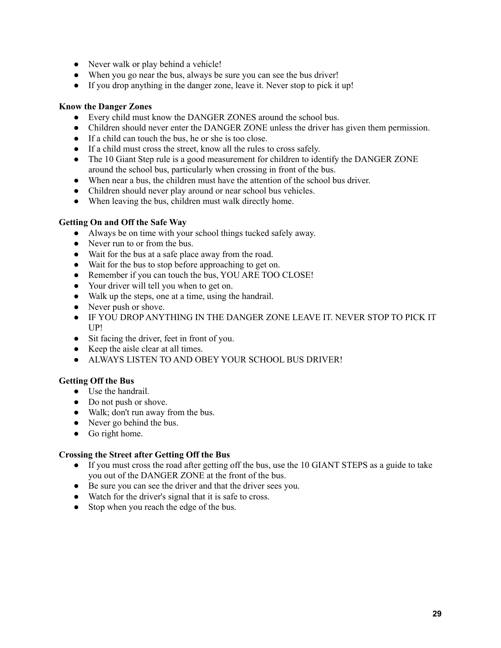- Never walk or play behind a vehicle!
- When you go near the bus, always be sure you can see the bus driver!
- If you drop anything in the danger zone, leave it. Never stop to pick it up!

#### **Know the Danger Zones**

- Every child must know the DANGER ZONES around the school bus.
- Children should never enter the DANGER ZONE unless the driver has given them permission.
- If a child can touch the bus, he or she is too close.
- If a child must cross the street, know all the rules to cross safely.
- The 10 Giant Step rule is a good measurement for children to identify the DANGER ZONE around the school bus, particularly when crossing in front of the bus.
- When near a bus, the children must have the attention of the school bus driver.
- Children should never play around or near school bus vehicles.
- When leaving the bus, children must walk directly home.

#### **Getting On and Off the Safe Way**

- Always be on time with your school things tucked safely away.
- Never run to or from the bus.
- Wait for the bus at a safe place away from the road.
- Wait for the bus to stop before approaching to get on.
- Remember if you can touch the bus, YOU ARE TOO CLOSE!
- Your driver will tell you when to get on.
- Walk up the steps, one at a time, using the handrail.
- Never push or shove.
- IF YOU DROP ANYTHING IN THE DANGER ZONE LEAVE IT. NEVER STOP TO PICK IT UP!
- Sit facing the driver, feet in front of you.
- Keep the aisle clear at all times.
- ALWAYS LISTEN TO AND OBEY YOUR SCHOOL BUS DRIVER!

#### **Getting Off the Bus**

- Use the handrail.
- Do not push or shove.
- Walk; don't run away from the bus.
- Never go behind the bus.
- Go right home.

#### **Crossing the Street after Getting Off the Bus**

- If you must cross the road after getting off the bus, use the 10 GIANT STEPS as a guide to take you out of the DANGER ZONE at the front of the bus.
- Be sure you can see the driver and that the driver sees you.
- Watch for the driver's signal that it is safe to cross.
- Stop when you reach the edge of the bus.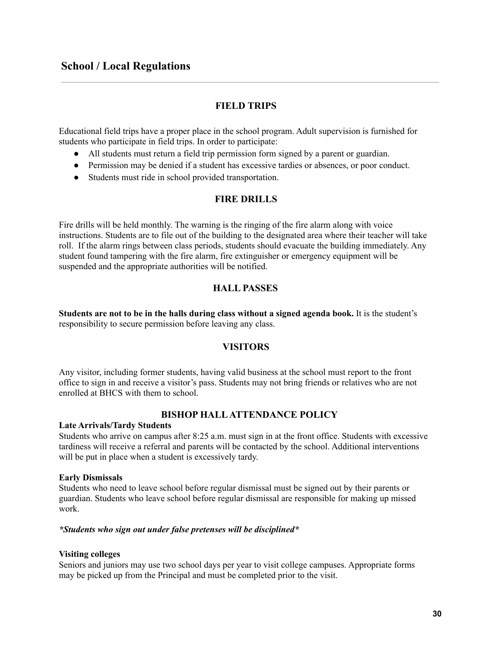#### **FIELD TRIPS**

Educational field trips have a proper place in the school program. Adult supervision is furnished for students who participate in field trips. In order to participate:

- All students must return a field trip permission form signed by a parent or guardian.
- Permission may be denied if a student has excessive tardies or absences, or poor conduct.
- Students must ride in school provided transportation.

#### **FIRE DRILLS**

Fire drills will be held monthly. The warning is the ringing of the fire alarm along with voice instructions. Students are to file out of the building to the designated area where their teacher will take roll. If the alarm rings between class periods, students should evacuate the building immediately. Any student found tampering with the fire alarm, fire extinguisher or emergency equipment will be suspended and the appropriate authorities will be notified.

#### **HALL PASSES**

**Students are not to be in the halls during class without a signed agenda book.** It is the student's responsibility to secure permission before leaving any class.

#### **VISITORS**

Any visitor, including former students, having valid business at the school must report to the front office to sign in and receive a visitor's pass. Students may not bring friends or relatives who are not enrolled at BHCS with them to school.

#### **BISHOP HALLATTENDANCE POLICY**

#### **Late Arrivals/Tardy Students**

Students who arrive on campus after 8:25 a.m. must sign in at the front office. Students with excessive tardiness will receive a referral and parents will be contacted by the school. Additional interventions will be put in place when a student is excessively tardy.

#### **Early Dismissals**

Students who need to leave school before regular dismissal must be signed out by their parents or guardian. Students who leave school before regular dismissal are responsible for making up missed work.

#### *\*Students who sign out under false pretenses will be disciplined\**

#### **Visiting colleges**

Seniors and juniors may use two school days per year to visit college campuses. Appropriate forms may be picked up from the Principal and must be completed prior to the visit.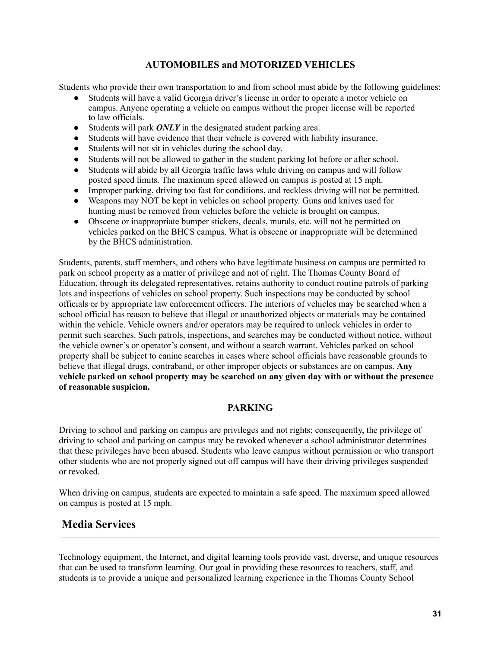#### **AUTOMOBILES and MOTORIZED VEHICLES**

Students who provide their own transportation to and from school must abide by the following guidelines:

- Students will have a valid Georgia driver's license in order to operate a motor vehicle on campus. Anyone operating a vehicle on campus without the proper license will be reported to law officials.
- Students will park *ONLY* in the designated student parking area.
- Students will have evidence that their vehicle is covered with liability insurance.
- Students will not sit in vehicles during the school day.
- Students will not be allowed to gather in the student parking lot before or after school.
- Students will abide by all Georgia traffic laws while driving on campus and will follow posted speed limits. The maximum speed allowed on campus is posted at 15 mph.
- Improper parking, driving too fast for conditions, and reckless driving will not be permitted.
- Weapons may NOT be kept in vehicles on school property. Guns and knives used for hunting must be removed from vehicles before the vehicle is brought on campus.
- Obscene or inappropriate bumper stickers, decals, murals, etc. will not be permitted on vehicles parked on the BHCS campus. What is obscene or inappropriate will be determined by the BHCS administration.

Students, parents, staff members, and others who have legitimate business on campus are permitted to park on school property as a matter of privilege and not of right. The Thomas County Board of Education, through its delegated representatives, retains authority to conduct routine patrols of parking lots and inspections of vehicles on school property. Such inspections may be conducted by school officials or by appropriate law enforcement officers. The interiors of vehicles may be searched when a school official has reason to believe that illegal or unauthorized objects or materials may be contained within the vehicle. Vehicle owners and/or operators may be required to unlock vehicles in order to permit such searches. Such patrols, inspections, and searches may be conducted without notice, without the vehicle owner's or operator's consent, and without a search warrant. Vehicles parked on school property shall be subject to canine searches in cases where school officials have reasonable grounds to believe that illegal drugs, contraband, or other improper objects or substances are on campus. **Any vehicle parked on school property may be searched on any given day with or without the presence of reasonable suspicion.**

#### **PARKING**

Driving to school and parking on campus are privileges and not rights; consequently, the privilege of driving to school and parking on campus may be revoked whenever a school administrator determines that these privileges have been abused. Students who leave campus without permission or who transport other students who are not properly signed out off campus will have their driving privileges suspended or revoked.

When driving on campus, students are expected to maintain a safe speed. The maximum speed allowed on campus is posted at 15 mph.

#### **Media Services**

Technology equipment, the Internet, and digital learning tools provide vast, diverse, and unique resources that can be used to transform learning. Our goal in providing these resources to teachers, staff, and students is to provide a unique and personalized learning experience in the Thomas County School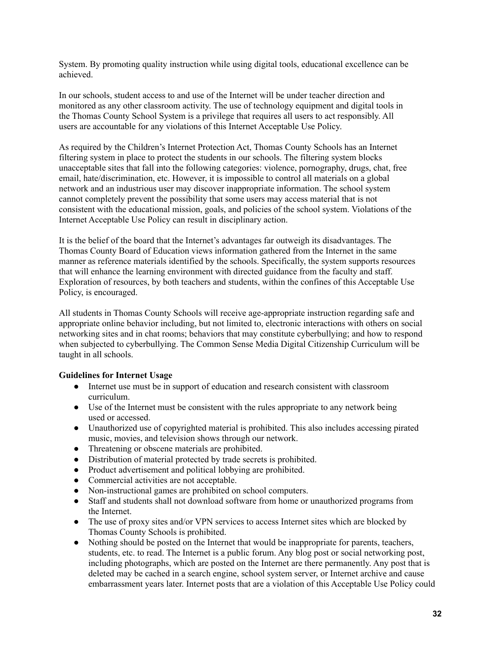System. By promoting quality instruction while using digital tools, educational excellence can be achieved.

In our schools, student access to and use of the Internet will be under teacher direction and monitored as any other classroom activity. The use of technology equipment and digital tools in the Thomas County School System is a privilege that requires all users to act responsibly. All users are accountable for any violations of this Internet Acceptable Use Policy.

As required by the Children's Internet Protection Act, Thomas County Schools has an Internet filtering system in place to protect the students in our schools. The filtering system blocks unacceptable sites that fall into the following categories: violence, pornography, drugs, chat, free email, hate/discrimination, etc. However, it is impossible to control all materials on a global network and an industrious user may discover inappropriate information. The school system cannot completely prevent the possibility that some users may access material that is not consistent with the educational mission, goals, and policies of the school system. Violations of the Internet Acceptable Use Policy can result in disciplinary action.

It is the belief of the board that the Internet's advantages far outweigh its disadvantages. The Thomas County Board of Education views information gathered from the Internet in the same manner as reference materials identified by the schools. Specifically, the system supports resources that will enhance the learning environment with directed guidance from the faculty and staff. Exploration of resources, by both teachers and students, within the confines of this Acceptable Use Policy, is encouraged.

All students in Thomas County Schools will receive age-appropriate instruction regarding safe and appropriate online behavior including, but not limited to, electronic interactions with others on social networking sites and in chat rooms; behaviors that may constitute cyberbullying; and how to respond when subjected to cyberbullying. The Common Sense Media Digital Citizenship Curriculum will be taught in all schools.

#### **Guidelines for Internet Usage**

- Internet use must be in support of education and research consistent with classroom curriculum.
- Use of the Internet must be consistent with the rules appropriate to any network being used or accessed.
- Unauthorized use of copyrighted material is prohibited. This also includes accessing pirated music, movies, and television shows through our network.
- Threatening or obscene materials are prohibited.
- Distribution of material protected by trade secrets is prohibited.
- Product advertisement and political lobbying are prohibited.
- Commercial activities are not acceptable.
- Non-instructional games are prohibited on school computers.
- Staff and students shall not download software from home or unauthorized programs from the Internet.
- The use of proxy sites and/or VPN services to access Internet sites which are blocked by Thomas County Schools is prohibited.
- Nothing should be posted on the Internet that would be inappropriate for parents, teachers, students, etc. to read. The Internet is a public forum. Any blog post or social networking post, including photographs, which are posted on the Internet are there permanently. Any post that is deleted may be cached in a search engine, school system server, or Internet archive and cause embarrassment years later. Internet posts that are a violation of this Acceptable Use Policy could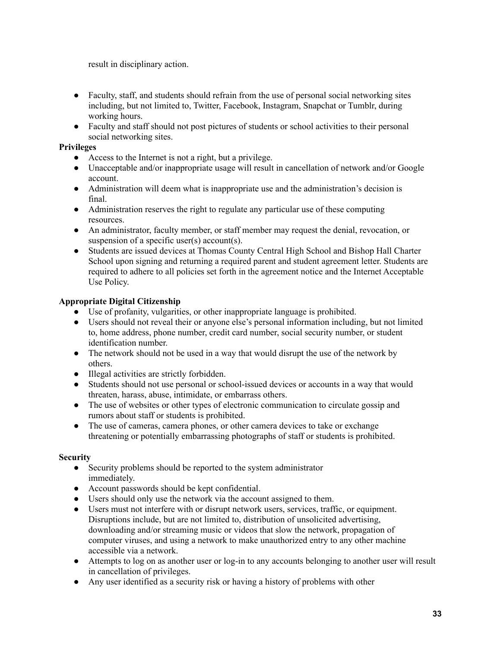result in disciplinary action.

- Faculty, staff, and students should refrain from the use of personal social networking sites including, but not limited to, Twitter, Facebook, Instagram, Snapchat or Tumblr, during working hours.
- Faculty and staff should not post pictures of students or school activities to their personal social networking sites.

#### **Privileges**

- Access to the Internet is not a right, but a privilege.
- Unacceptable and/or inappropriate usage will result in cancellation of network and/or Google account.
- Administration will deem what is inappropriate use and the administration's decision is final.
- Administration reserves the right to regulate any particular use of these computing resources.
- An administrator, faculty member, or staff member may request the denial, revocation, or suspension of a specific user(s) account(s).
- Students are issued devices at Thomas County Central High School and Bishop Hall Charter School upon signing and returning a required parent and student agreement letter. Students are required to adhere to all policies set forth in the agreement notice and the Internet Acceptable Use Policy.

#### **Appropriate Digital Citizenship**

- Use of profanity, vulgarities, or other inappropriate language is prohibited.
- Users should not reveal their or anyone else's personal information including, but not limited to, home address, phone number, credit card number, social security number, or student identification number.
- The network should not be used in a way that would disrupt the use of the network by others.
- Illegal activities are strictly forbidden.
- Students should not use personal or school-issued devices or accounts in a way that would threaten, harass, abuse, intimidate, or embarrass others.
- The use of websites or other types of electronic communication to circulate gossip and rumors about staff or students is prohibited.
- The use of cameras, camera phones, or other camera devices to take or exchange threatening or potentially embarrassing photographs of staff or students is prohibited.

#### **Security**

- Security problems should be reported to the system administrator immediately.
- Account passwords should be kept confidential.
- Users should only use the network via the account assigned to them.
- Users must not interfere with or disrupt network users, services, traffic, or equipment. Disruptions include, but are not limited to, distribution of unsolicited advertising, downloading and/or streaming music or videos that slow the network, propagation of computer viruses, and using a network to make unauthorized entry to any other machine accessible via a network.
- Attempts to log on as another user or log-in to any accounts belonging to another user will result in cancellation of privileges.
- Any user identified as a security risk or having a history of problems with other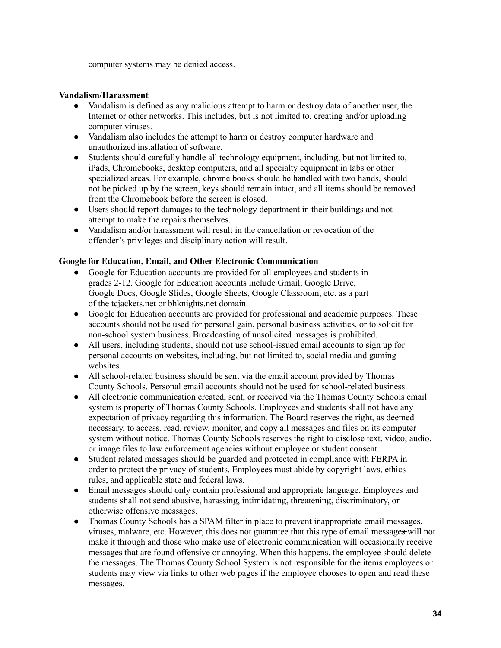computer systems may be denied access.

#### **Vandalism/Harassment**

- Vandalism is defined as any malicious attempt to harm or destroy data of another user, the Internet or other networks. This includes, but is not limited to, creating and/or uploading computer viruses.
- Vandalism also includes the attempt to harm or destroy computer hardware and unauthorized installation of software.
- Students should carefully handle all technology equipment, including, but not limited to, iPads, Chromebooks, desktop computers, and all specialty equipment in labs or other specialized areas. For example, chrome books should be handled with two hands, should not be picked up by the screen, keys should remain intact, and all items should be removed from the Chromebook before the screen is closed.
- Users should report damages to the technology department in their buildings and not attempt to make the repairs themselves.
- Vandalism and/or harassment will result in the cancellation or revocation of the offender's privileges and disciplinary action will result.

#### **Google for Education, Email, and Other Electronic Communication**

- Google for Education accounts are provided for all employees and students in grades 2-12. Google for Education accounts include Gmail, Google Drive, Google Docs, Google Slides, Google Sheets, Google Classroom, etc. as a part of the tcjackets.net or bhknights.net domain.
- Google for Education accounts are provided for professional and academic purposes. These accounts should not be used for personal gain, personal business activities, or to solicit for non-school system business. Broadcasting of unsolicited messages is prohibited.
- All users, including students, should not use school-issued email accounts to sign up for personal accounts on websites, including, but not limited to, social media and gaming websites.
- All school-related business should be sent via the email account provided by Thomas County Schools. Personal email accounts should not be used for school-related business.
- All electronic communication created, sent, or received via the Thomas County Schools email system is property of Thomas County Schools. Employees and students shall not have any expectation of privacy regarding this information. The Board reserves the right, as deemed necessary, to access, read, review, monitor, and copy all messages and files on its computer system without notice. Thomas County Schools reserves the right to disclose text, video, audio, or image files to law enforcement agencies without employee or student consent.
- Student related messages should be guarded and protected in compliance with FERPA in order to protect the privacy of students. Employees must abide by copyright laws, ethics rules, and applicable state and federal laws.
- Email messages should only contain professional and appropriate language. Employees and students shall not send abusive, harassing, intimidating, threatening, discriminatory, or otherwise offensive messages.
- Thomas County Schools has a SPAM filter in place to prevent inappropriate email messages, viruses, malware, etc. However, this does not guarantee that this type of email messages will not make it through and those who make use of electronic communication will occasionally receive messages that are found offensive or annoying. When this happens, the employee should delete the messages. The Thomas County School System is not responsible for the items employees or students may view via links to other web pages if the employee chooses to open and read these messages.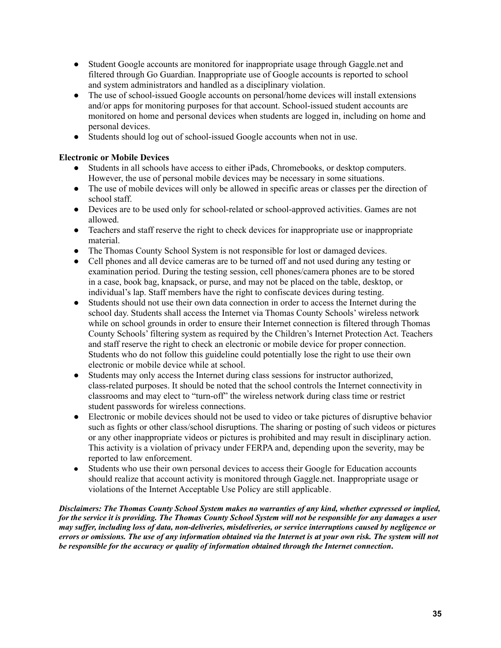- Student Google accounts are monitored for inappropriate usage through Gaggle.net and filtered through Go Guardian. Inappropriate use of Google accounts is reported to school and system administrators and handled as a disciplinary violation.
- The use of school-issued Google accounts on personal/home devices will install extensions and/or apps for monitoring purposes for that account. School-issued student accounts are monitored on home and personal devices when students are logged in, including on home and personal devices.
- Students should log out of school-issued Google accounts when not in use.

#### **Electronic or Mobile Devices**

- Students in all schools have access to either iPads, Chromebooks, or desktop computers. However, the use of personal mobile devices may be necessary in some situations.
- The use of mobile devices will only be allowed in specific areas or classes per the direction of school staff.
- Devices are to be used only for school-related or school-approved activities. Games are not allowed.
- Teachers and staff reserve the right to check devices for inappropriate use or inappropriate material.
- The Thomas County School System is not responsible for lost or damaged devices.
- Cell phones and all device cameras are to be turned off and not used during any testing or examination period. During the testing session, cell phones/camera phones are to be stored in a case, book bag, knapsack, or purse, and may not be placed on the table, desktop, or individual's lap. Staff members have the right to confiscate devices during testing.
- Students should not use their own data connection in order to access the Internet during the school day. Students shall access the Internet via Thomas County Schools' wireless network while on school grounds in order to ensure their Internet connection is filtered through Thomas County Schools' filtering system as required by the Children's Internet Protection Act. Teachers and staff reserve the right to check an electronic or mobile device for proper connection. Students who do not follow this guideline could potentially lose the right to use their own electronic or mobile device while at school.
- Students may only access the Internet during class sessions for instructor authorized, class-related purposes. It should be noted that the school controls the Internet connectivity in classrooms and may elect to "turn-off" the wireless network during class time or restrict student passwords for wireless connections.
- Electronic or mobile devices should not be used to video or take pictures of disruptive behavior such as fights or other class/school disruptions. The sharing or posting of such videos or pictures or any other inappropriate videos or pictures is prohibited and may result in disciplinary action. This activity is a violation of privacy under FERPA and, depending upon the severity, may be reported to law enforcement.
- Students who use their own personal devices to access their Google for Education accounts should realize that account activity is monitored through Gaggle.net. Inappropriate usage or violations of the Internet Acceptable Use Policy are still applicable.

*Disclaimers: The Thomas County School System makes no warranties of any kind, whether expressed or implied,* for the service it is providing. The Thomas County School System will not be responsible for any damages a user may suffer, including loss of data, non-deliveries, misdeliveries, or service interruptions caused by negligence or errors or omissions. The use of any information obtained via the Internet is at your own risk. The system will not *be responsible for the accuracy or quality of information obtained through the Internet connection***.**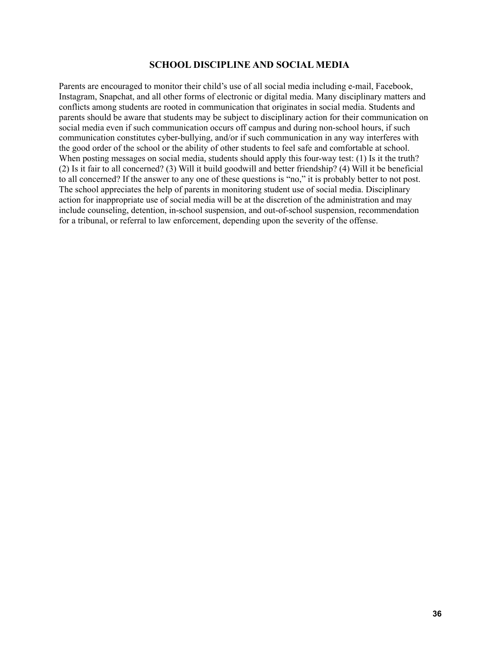#### **SCHOOL DISCIPLINE AND SOCIAL MEDIA**

Parents are encouraged to monitor their child's use of all social media including e-mail, Facebook, Instagram, Snapchat, and all other forms of electronic or digital media. Many disciplinary matters and conflicts among students are rooted in communication that originates in social media. Students and parents should be aware that students may be subject to disciplinary action for their communication on social media even if such communication occurs off campus and during non-school hours, if such communication constitutes cyber-bullying, and/or if such communication in any way interferes with the good order of the school or the ability of other students to feel safe and comfortable at school. When posting messages on social media, students should apply this four-way test: (1) Is it the truth? (2) Is it fair to all concerned? (3) Will it build goodwill and better friendship? (4) Will it be beneficial to all concerned? If the answer to any one of these questions is "no," it is probably better to not post. The school appreciates the help of parents in monitoring student use of social media. Disciplinary action for inappropriate use of social media will be at the discretion of the administration and may include counseling, detention, in-school suspension, and out-of-school suspension, recommendation for a tribunal, or referral to law enforcement, depending upon the severity of the offense.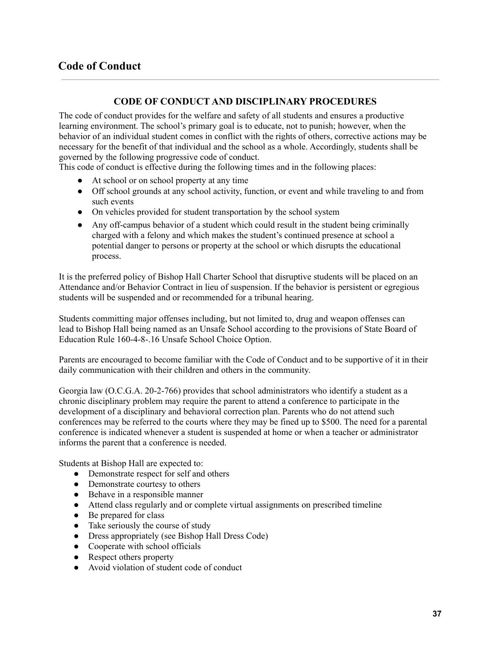#### **CODE OF CONDUCT AND DISCIPLINARY PROCEDURES**

The code of conduct provides for the welfare and safety of all students and ensures a productive learning environment. The school's primary goal is to educate, not to punish; however, when the behavior of an individual student comes in conflict with the rights of others, corrective actions may be necessary for the benefit of that individual and the school as a whole. Accordingly, students shall be governed by the following progressive code of conduct.

This code of conduct is effective during the following times and in the following places:

- At school or on school property at any time
- Off school grounds at any school activity, function, or event and while traveling to and from such events
- On vehicles provided for student transportation by the school system
- Any off-campus behavior of a student which could result in the student being criminally charged with a felony and which makes the student's continued presence at school a potential danger to persons or property at the school or which disrupts the educational process.

It is the preferred policy of Bishop Hall Charter School that disruptive students will be placed on an Attendance and/or Behavior Contract in lieu of suspension. If the behavior is persistent or egregious students will be suspended and or recommended for a tribunal hearing.

Students committing major offenses including, but not limited to, drug and weapon offenses can lead to Bishop Hall being named as an Unsafe School according to the provisions of State Board of Education Rule 160-4-8-.16 Unsafe School Choice Option.

Parents are encouraged to become familiar with the Code of Conduct and to be supportive of it in their daily communication with their children and others in the community.

Georgia law (O.C.G.A. 20-2-766) provides that school administrators who identify a student as a chronic disciplinary problem may require the parent to attend a conference to participate in the development of a disciplinary and behavioral correction plan. Parents who do not attend such conferences may be referred to the courts where they may be fined up to \$500. The need for a parental conference is indicated whenever a student is suspended at home or when a teacher or administrator informs the parent that a conference is needed.

Students at Bishop Hall are expected to:

- Demonstrate respect for self and others
- Demonstrate courtesy to others
- Behave in a responsible manner
- Attend class regularly and or complete virtual assignments on prescribed timeline
- Be prepared for class
- Take seriously the course of study
- Dress appropriately (see Bishop Hall Dress Code)
- Cooperate with school officials
- Respect others property
- Avoid violation of student code of conduct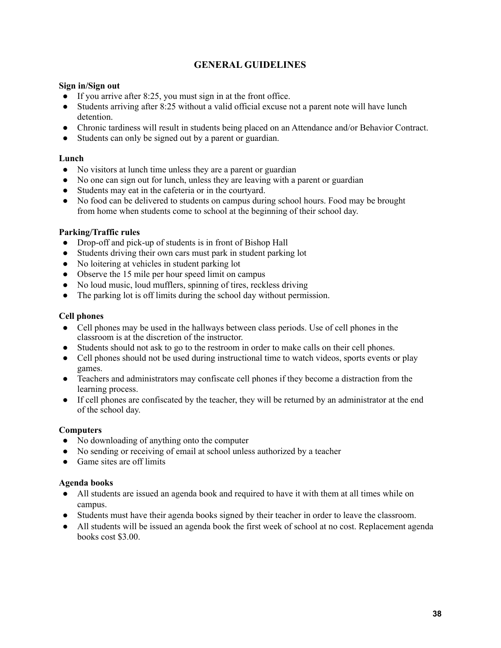#### **GENERAL GUIDELINES**

#### **Sign in/Sign out**

- $\bullet$  If you arrive after 8:25, you must sign in at the front office.
- Students arriving after 8:25 without a valid official excuse not a parent note will have lunch detention.
- Chronic tardiness will result in students being placed on an Attendance and/or Behavior Contract.
- Students can only be signed out by a parent or guardian.

#### **Lunch**

- No visitors at lunch time unless they are a parent or guardian
- No one can sign out for lunch, unless they are leaving with a parent or guardian
- Students may eat in the cafeteria or in the courtyard.
- No food can be delivered to students on campus during school hours. Food may be brought from home when students come to school at the beginning of their school day.

#### **Parking/Traffic rules**

- Drop-off and pick-up of students is in front of Bishop Hall
- Students driving their own cars must park in student parking lot
- No loitering at vehicles in student parking lot
- Observe the 15 mile per hour speed limit on campus
- No loud music, loud mufflers, spinning of tires, reckless driving
- The parking lot is off limits during the school day without permission.

#### **Cell phones**

- Cell phones may be used in the hallways between class periods. Use of cell phones in the classroom is at the discretion of the instructor.
- Students should not ask to go to the restroom in order to make calls on their cell phones.
- Cell phones should not be used during instructional time to watch videos, sports events or play games.
- Teachers and administrators may confiscate cell phones if they become a distraction from the learning process.
- If cell phones are confiscated by the teacher, they will be returned by an administrator at the end of the school day.

#### **Computers**

- No downloading of anything onto the computer
- No sending or receiving of email at school unless authorized by a teacher
- Game sites are off limits

#### **Agenda books**

- All students are issued an agenda book and required to have it with them at all times while on campus.
- Students must have their agenda books signed by their teacher in order to leave the classroom.
- All students will be issued an agenda book the first week of school at no cost. Replacement agenda books cost \$3.00.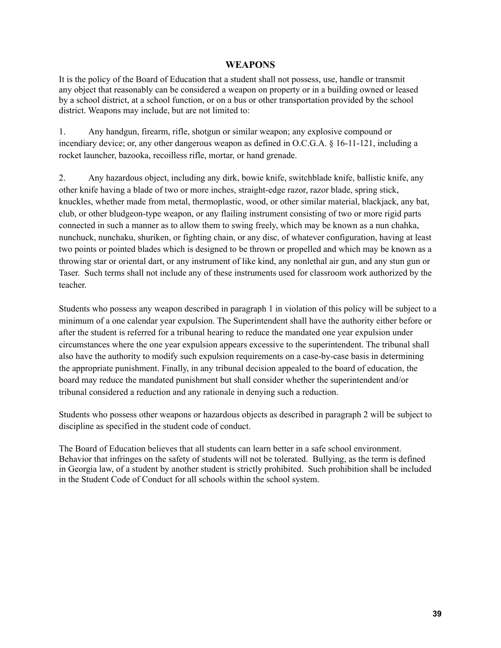#### **WEAPONS**

It is the policy of the Board of Education that a student shall not possess, use, handle or transmit any object that reasonably can be considered a weapon on property or in a building owned or leased by a school district, at a school function, or on a bus or other transportation provided by the school district. Weapons may include, but are not limited to:

1. Any handgun, firearm, rifle, shotgun or similar weapon; any explosive compound or incendiary device; or, any other dangerous weapon as defined in O.C.G.A. § 16-11-121, including a rocket launcher, bazooka, recoilless rifle, mortar, or hand grenade.

2. Any hazardous object, including any dirk, bowie knife, switchblade knife, ballistic knife, any other knife having a blade of two or more inches, straight-edge razor, razor blade, spring stick, knuckles, whether made from metal, thermoplastic, wood, or other similar material, blackjack, any bat, club, or other bludgeon-type weapon, or any flailing instrument consisting of two or more rigid parts connected in such a manner as to allow them to swing freely, which may be known as a nun chahka, nunchuck, nunchaku, shuriken, or fighting chain, or any disc, of whatever configuration, having at least two points or pointed blades which is designed to be thrown or propelled and which may be known as a throwing star or oriental dart, or any instrument of like kind, any nonlethal air gun, and any stun gun or Taser. Such terms shall not include any of these instruments used for classroom work authorized by the teacher.

Students who possess any weapon described in paragraph 1 in violation of this policy will be subject to a minimum of a one calendar year expulsion. The Superintendent shall have the authority either before or after the student is referred for a tribunal hearing to reduce the mandated one year expulsion under circumstances where the one year expulsion appears excessive to the superintendent. The tribunal shall also have the authority to modify such expulsion requirements on a case-by-case basis in determining the appropriate punishment. Finally, in any tribunal decision appealed to the board of education, the board may reduce the mandated punishment but shall consider whether the superintendent and/or tribunal considered a reduction and any rationale in denying such a reduction.

Students who possess other weapons or hazardous objects as described in paragraph 2 will be subject to discipline as specified in the student code of conduct.

The Board of Education believes that all students can learn better in a safe school environment. Behavior that infringes on the safety of students will not be tolerated. Bullying, as the term is defined in Georgia law, of a student by another student is strictly prohibited. Such prohibition shall be included in the Student Code of Conduct for all schools within the school system.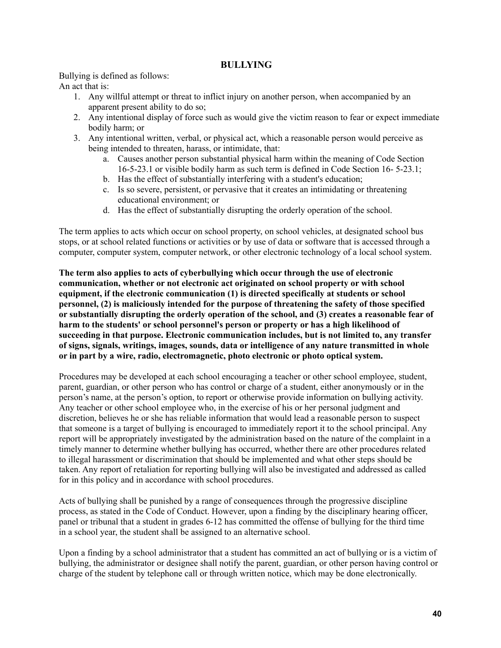#### **BULLYING**

Bullying is defined as follows:

An act that is:

- 1. Any willful attempt or threat to inflict injury on another person, when accompanied by an apparent present ability to do so;
- 2. Any intentional display of force such as would give the victim reason to fear or expect immediate bodily harm; or
- 3. Any intentional written, verbal, or physical act, which a reasonable person would perceive as being intended to threaten, harass, or intimidate, that:
	- a. Causes another person substantial physical harm within the meaning of Code Section 16-5-23.1 or visible bodily harm as such term is defined in Code Section 16- 5-23.1;
	- b. Has the effect of substantially interfering with a student's education;
	- c. Is so severe, persistent, or pervasive that it creates an intimidating or threatening educational environment; or
	- d. Has the effect of substantially disrupting the orderly operation of the school.

The term applies to acts which occur on school property, on school vehicles, at designated school bus stops, or at school related functions or activities or by use of data or software that is accessed through a computer, computer system, computer network, or other electronic technology of a local school system.

**The term also applies to acts of cyberbullying which occur through the use of electronic communication, whether or not electronic act originated on school property or with school equipment, if the electronic communication (1) is directed specifically at students or school personnel, (2) is maliciously intended for the purpose of threatening the safety of those specified or substantially disrupting the orderly operation of the school, and (3) creates a reasonable fear of harm to the students' or school personnel's person or property or has a high likelihood of succeeding in that purpose. Electronic communication includes, but is not limited to, any transfer of signs, signals, writings, images, sounds, data or intelligence of any nature transmitted in whole or in part by a wire, radio, electromagnetic, photo electronic or photo optical system.**

Procedures may be developed at each school encouraging a teacher or other school employee, student, parent, guardian, or other person who has control or charge of a student, either anonymously or in the person's name, at the person's option, to report or otherwise provide information on bullying activity. Any teacher or other school employee who, in the exercise of his or her personal judgment and discretion, believes he or she has reliable information that would lead a reasonable person to suspect that someone is a target of bullying is encouraged to immediately report it to the school principal. Any report will be appropriately investigated by the administration based on the nature of the complaint in a timely manner to determine whether bullying has occurred, whether there are other procedures related to illegal harassment or discrimination that should be implemented and what other steps should be taken. Any report of retaliation for reporting bullying will also be investigated and addressed as called for in this policy and in accordance with school procedures.

Acts of bullying shall be punished by a range of consequences through the progressive discipline process, as stated in the Code of Conduct. However, upon a finding by the disciplinary hearing officer, panel or tribunal that a student in grades 6-12 has committed the offense of bullying for the third time in a school year, the student shall be assigned to an alternative school.

Upon a finding by a school administrator that a student has committed an act of bullying or is a victim of bullying, the administrator or designee shall notify the parent, guardian, or other person having control or charge of the student by telephone call or through written notice, which may be done electronically.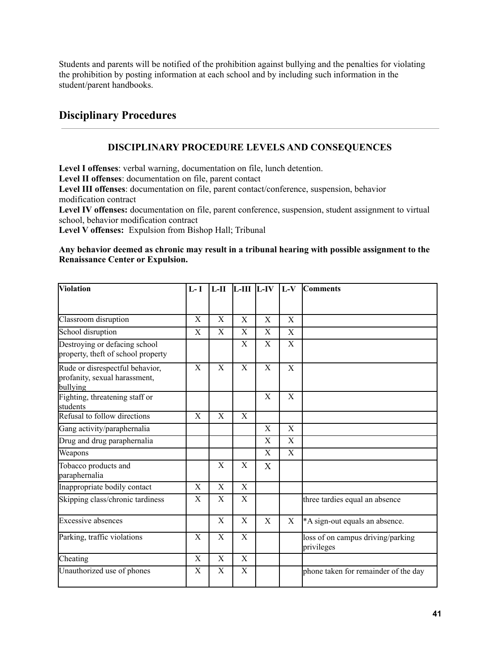Students and parents will be notified of the prohibition against bullying and the penalties for violating the prohibition by posting information at each school and by including such information in the student/parent handbooks.

### **Disciplinary Procedures**

#### **DISCIPLINARY PROCEDURE LEVELS AND CONSEQUENCES**

**Level I offenses**: verbal warning, documentation on file, lunch detention.

**Level II offenses**: documentation on file, parent contact

**Level III offenses**: documentation on file, parent contact/conference, suspension, behavior modification contract

**Level IV offenses:** documentation on file, parent conference, suspension, student assignment to virtual school, behavior modification contract

**Level V offenses:** Expulsion from Bishop Hall; Tribunal

#### **Any behavior deemed as chronic may result in a tribunal hearing with possible assignment to the Renaissance Center or Expulsion.**

| <b>Violation</b>                                                             | $L-I$                     | $L-H$                 | $L-III$ $L-IV$            |                         | $L-V$                 | <b>Comments</b>                                 |
|------------------------------------------------------------------------------|---------------------------|-----------------------|---------------------------|-------------------------|-----------------------|-------------------------------------------------|
|                                                                              |                           |                       |                           |                         |                       |                                                 |
| Classroom disruption                                                         | $\boldsymbol{\mathrm{X}}$ | X                     | X                         | X                       | X                     |                                                 |
| School disruption                                                            | X                         | X                     | $\boldsymbol{\mathrm{X}}$ | $\overline{\mathrm{X}}$ | X                     |                                                 |
| Destroying or defacing school<br>property, theft of school property          |                           |                       | $\boldsymbol{\mathrm{X}}$ | X                       | $\overline{\text{X}}$ |                                                 |
| Rude or disrespectful behavior,<br>profanity, sexual harassment,<br>bullying | $\boldsymbol{\mathrm{X}}$ | X                     | $\mathbf X$               | $\mathbf X$             | X                     |                                                 |
| Fighting, threatening staff or<br>students                                   |                           |                       |                           | X                       | X                     |                                                 |
| Refusal to follow directions                                                 | X                         | X                     | X                         |                         |                       |                                                 |
| Gang activity/paraphernalia                                                  |                           |                       |                           | X                       | X                     |                                                 |
| Drug and drug paraphernalia                                                  |                           |                       |                           | X                       | X                     |                                                 |
| Weapons                                                                      |                           |                       |                           | X                       | X                     |                                                 |
| Tobacco products and<br>paraphernalia                                        |                           | X                     | X                         | X                       |                       |                                                 |
| Inappropriate bodily contact                                                 | $\mathbf X$               | X                     | $\mathbf X$               |                         |                       |                                                 |
| Skipping class/chronic tardiness                                             | X                         | X                     | X                         |                         |                       | three tardies equal an absence                  |
| <b>Excessive absences</b>                                                    |                           | X                     | X                         | X                       | X                     | *A sign-out equals an absence.                  |
| Parking, traffic violations                                                  | $\overline{\mathrm{X}}$   | $\overline{\text{X}}$ | $\overline{X}$            |                         |                       | loss of on campus driving/parking<br>privileges |
| Cheating                                                                     | $\boldsymbol{\mathrm{X}}$ | X                     | $\boldsymbol{\mathrm{X}}$ |                         |                       |                                                 |
| Unauthorized use of phones                                                   | $\boldsymbol{\mathrm{X}}$ | X                     | $\boldsymbol{\mathrm{X}}$ |                         |                       | phone taken for remainder of the day            |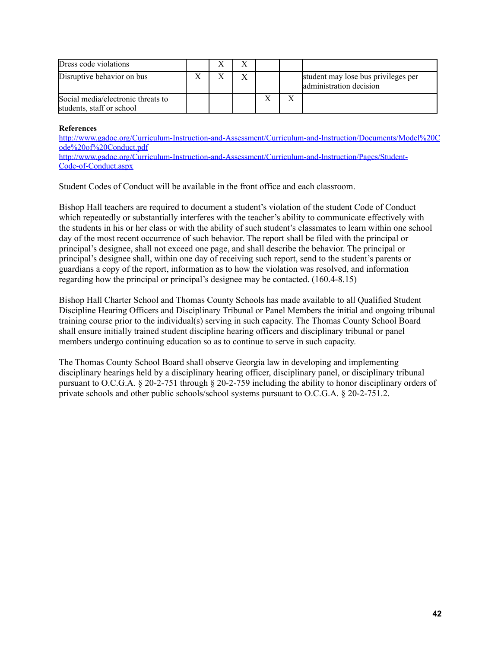| Dress code violations                                           | л      |              |                         |                                                                |
|-----------------------------------------------------------------|--------|--------------|-------------------------|----------------------------------------------------------------|
| Disruptive behavior on bus                                      | v<br>л | $\mathbf{v}$ |                         | student may lose bus privileges per<br>administration decision |
| Social media/electronic threats to<br>students, staff or school |        |              | $\overline{\mathbf{r}}$ |                                                                |

#### **References**

http://www.gadoe.org/Curriculum-Instruction-and-Assessment/Curriculum-and-[Instruction/Documents/Model%20C](http://www.gadoe.org/Curriculum-Instruction-and-Assessment/Curriculum-and-Instruction/Documents/Model%20Code%20of%20Conduct.pdf) [ode%20of%20Conduct.pdf](http://www.gadoe.org/Curriculum-Instruction-and-Assessment/Curriculum-and-Instruction/Documents/Model%20Code%20of%20Conduct.pdf) [http://www.gadoe.org/Curriculum-Instruction-and-Assessment/Curriculum-and-Instruction/Pages/Student-](http://www.gadoe.org/Curriculum-Instruction-and-Assessment/Curriculum-and-Instruction/Pages/Student-Code-of-Conduct.aspx)[Code-of-Conduct.aspx](http://www.gadoe.org/Curriculum-Instruction-and-Assessment/Curriculum-and-Instruction/Pages/Student-Code-of-Conduct.aspx)

Student Codes of Conduct will be available in the front office and each classroom.

Bishop Hall teachers are required to document a student's violation of the student Code of Conduct which repeatedly or substantially interferes with the teacher's ability to communicate effectively with the students in his or her class or with the ability of such student's classmates to learn within one school day of the most recent occurrence of such behavior. The report shall be filed with the principal or principal's designee, shall not exceed one page, and shall describe the behavior. The principal or principal's designee shall, within one day of receiving such report, send to the student's parents or guardians a copy of the report, information as to how the violation was resolved, and information regarding how the principal or principal's designee may be contacted. (160.4-8.15)

Bishop Hall Charter School and Thomas County Schools has made available to all Qualified Student Discipline Hearing Officers and Disciplinary Tribunal or Panel Members the initial and ongoing tribunal training course prior to the individual(s) serving in such capacity. The Thomas County School Board shall ensure initially trained student discipline hearing officers and disciplinary tribunal or panel members undergo continuing education so as to continue to serve in such capacity.

The Thomas County School Board shall observe Georgia law in developing and implementing disciplinary hearings held by a disciplinary hearing officer, disciplinary panel, or disciplinary tribunal pursuant to O.C.G.A. § 20-2-751 through § 20-2-759 including the ability to honor disciplinary orders of private schools and other public schools/school systems pursuant to O.C.G.A. § 20-2-751.2.